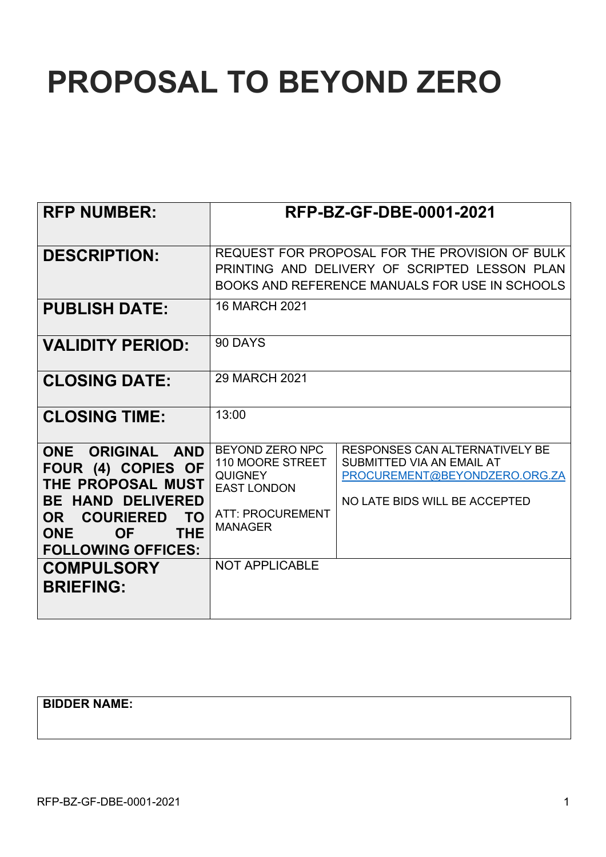# **PROPOSAL TO BEYOND ZERO**

| <b>RFP NUMBER:</b>                                                                                                                                                                                                            |                                                                                                                                                   | RFP-BZ-GF-DBE-0001-2021                                                                                                       |  |
|-------------------------------------------------------------------------------------------------------------------------------------------------------------------------------------------------------------------------------|---------------------------------------------------------------------------------------------------------------------------------------------------|-------------------------------------------------------------------------------------------------------------------------------|--|
| <b>DESCRIPTION:</b>                                                                                                                                                                                                           | REQUEST FOR PROPOSAL FOR THE PROVISION OF BULK<br>PRINTING AND DELIVERY OF SCRIPTED LESSON PLAN<br>BOOKS AND REFERENCE MANUALS FOR USE IN SCHOOLS |                                                                                                                               |  |
| <b>PUBLISH DATE:</b>                                                                                                                                                                                                          | <b>16 MARCH 2021</b>                                                                                                                              |                                                                                                                               |  |
| <b>VALIDITY PERIOD:</b>                                                                                                                                                                                                       | 90 DAYS                                                                                                                                           |                                                                                                                               |  |
| <b>CLOSING DATE:</b>                                                                                                                                                                                                          | 29 MARCH 2021                                                                                                                                     |                                                                                                                               |  |
| <b>CLOSING TIME:</b>                                                                                                                                                                                                          | 13:00                                                                                                                                             |                                                                                                                               |  |
| ONE ORIGINAL AND<br>FOUR (4) COPIES OF<br>THE PROPOSAL MUST<br><b>BE HAND DELIVERED</b><br>OR COURIERED<br>TO.<br><b>OF</b><br><b>THE</b><br><b>ONE</b><br><b>FOLLOWING OFFICES:</b><br><b>COMPULSORY</b><br><b>BRIEFING:</b> | BEYOND ZERO NPC<br>110 MOORE STREET<br><b>QUIGNEY</b><br><b>EAST LONDON</b><br><b>ATT: PROCUREMENT</b><br><b>MANAGER</b><br><b>NOT APPLICABLE</b> | RESPONSES CAN ALTERNATIVELY BE<br>SUBMITTED VIA AN EMAIL AT<br>PROCUREMENT@BEYONDZERO.ORG.ZA<br>NO LATE BIDS WILL BE ACCEPTED |  |

**BIDDER NAME:**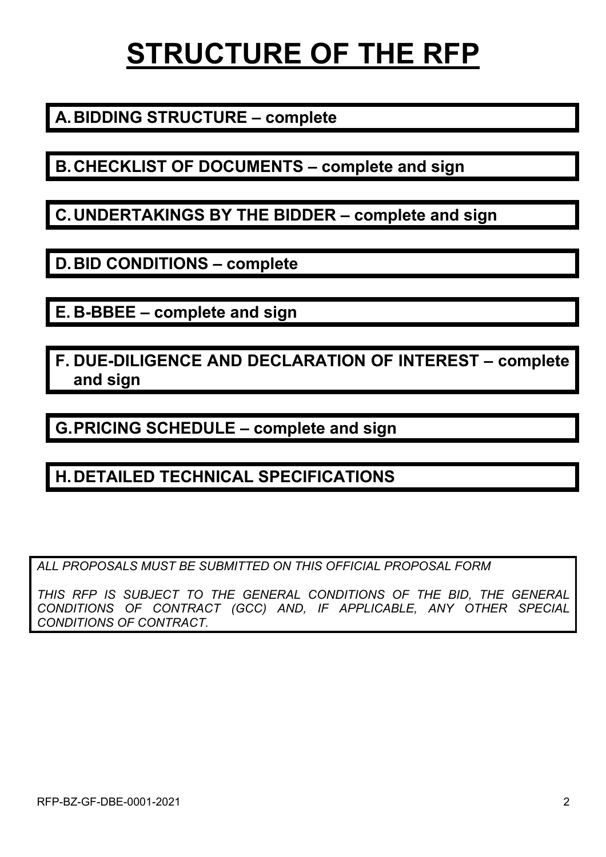# **STRUCTURE OF THE RFP**

### **A.BIDDING STRUCTURE – complete**

**B.CHECKLIST OF DOCUMENTS – complete and sign**

**C.UNDERTAKINGS BY THE BIDDER – complete and sign**

**D.BID CONDITIONS – complete**

**E. B-BBEE – complete and sign**

**F. DUE-DILIGENCE AND DECLARATION OF INTEREST – complete and sign**

**G.PRICING SCHEDULE – complete and sign**

### **H.DETAILED TECHNICAL SPECIFICATIONS**

*ALL PROPOSALS MUST BE SUBMITTED ON THIS OFFICIAL PROPOSAL FORM*

*THIS RFP IS SUBJECT TO THE GENERAL CONDITIONS OF THE BID, THE GENERAL CONDITIONS OF CONTRACT (GCC) AND, IF APPLICABLE, ANY OTHER SPECIAL CONDITIONS OF CONTRACT.*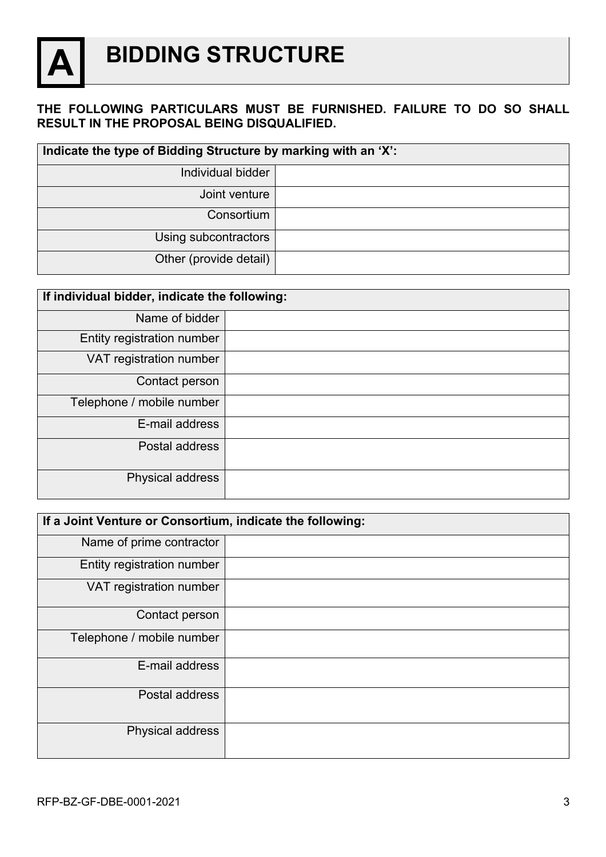

### **A BIDDING STRUCTURE**

#### **THE FOLLOWING PARTICULARS MUST BE FURNISHED. FAILURE TO DO SO SHALL RESULT IN THE PROPOSAL BEING DISQUALIFIED.**

| Indicate the type of Bidding Structure by marking with an 'X': |  |  |
|----------------------------------------------------------------|--|--|
| Individual bidder                                              |  |  |
| Joint venture                                                  |  |  |
| Consortium                                                     |  |  |
| Using subcontractors                                           |  |  |
| Other (provide detail)                                         |  |  |

| If individual bidder, indicate the following: |  |  |
|-----------------------------------------------|--|--|
| Name of bidder                                |  |  |
| Entity registration number                    |  |  |
| VAT registration number                       |  |  |
| Contact person                                |  |  |
| Telephone / mobile number                     |  |  |
| E-mail address                                |  |  |
| Postal address                                |  |  |
| Physical address                              |  |  |

| If a Joint Venture or Consortium, indicate the following: |  |  |
|-----------------------------------------------------------|--|--|
| Name of prime contractor                                  |  |  |
| Entity registration number                                |  |  |
| VAT registration number                                   |  |  |
| Contact person                                            |  |  |
| Telephone / mobile number                                 |  |  |
| E-mail address                                            |  |  |
| Postal address                                            |  |  |
| Physical address                                          |  |  |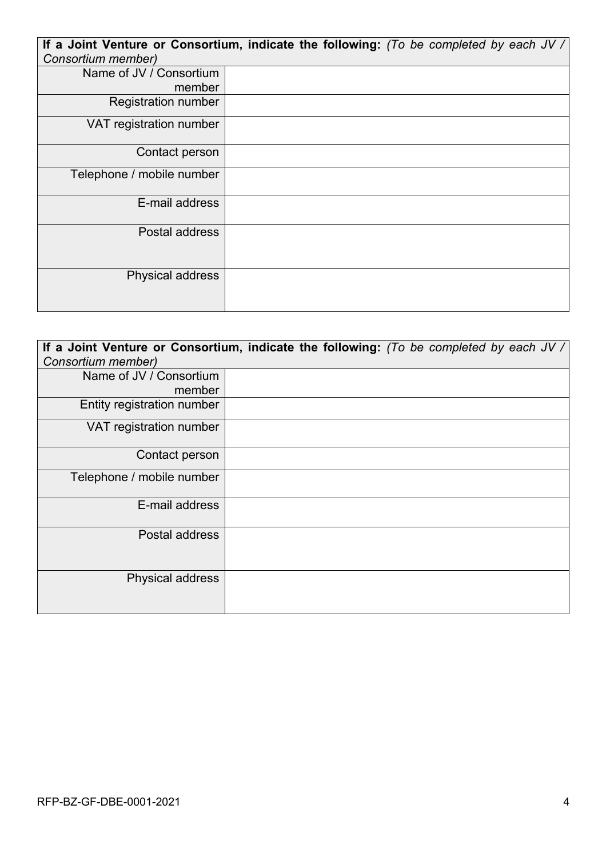|                            | If a Joint Venture or Consortium, indicate the following: (To be completed by each JV / |
|----------------------------|-----------------------------------------------------------------------------------------|
| Consortium member)         |                                                                                         |
| Name of JV / Consortium    |                                                                                         |
| member                     |                                                                                         |
| <b>Registration number</b> |                                                                                         |
| VAT registration number    |                                                                                         |
| Contact person             |                                                                                         |
| Telephone / mobile number  |                                                                                         |
| E-mail address             |                                                                                         |
| Postal address             |                                                                                         |
| Physical address           |                                                                                         |

| Consortium member)         | If a Joint Venture or Consortium, indicate the following: (To be completed by each JV / |
|----------------------------|-----------------------------------------------------------------------------------------|
| Name of JV / Consortium    |                                                                                         |
| member                     |                                                                                         |
| Entity registration number |                                                                                         |
| VAT registration number    |                                                                                         |
| Contact person             |                                                                                         |
| Telephone / mobile number  |                                                                                         |
| E-mail address             |                                                                                         |
| Postal address             |                                                                                         |
| Physical address           |                                                                                         |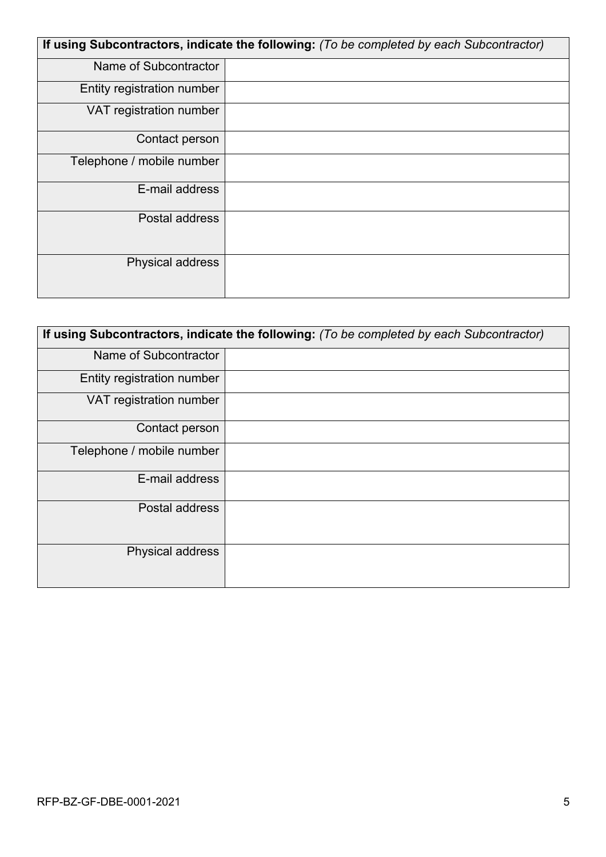| If using Subcontractors, indicate the following: (To be completed by each Subcontractor) |  |  |
|------------------------------------------------------------------------------------------|--|--|
| Name of Subcontractor                                                                    |  |  |
| Entity registration number                                                               |  |  |
| VAT registration number                                                                  |  |  |
| Contact person                                                                           |  |  |
| Telephone / mobile number                                                                |  |  |
| E-mail address                                                                           |  |  |
| Postal address                                                                           |  |  |
| Physical address                                                                         |  |  |

| If using Subcontractors, indicate the following: (To be completed by each Subcontractor) |  |  |
|------------------------------------------------------------------------------------------|--|--|
| Name of Subcontractor                                                                    |  |  |
| Entity registration number                                                               |  |  |
| VAT registration number                                                                  |  |  |
| Contact person                                                                           |  |  |
| Telephone / mobile number                                                                |  |  |
| E-mail address                                                                           |  |  |
| Postal address                                                                           |  |  |
| Physical address                                                                         |  |  |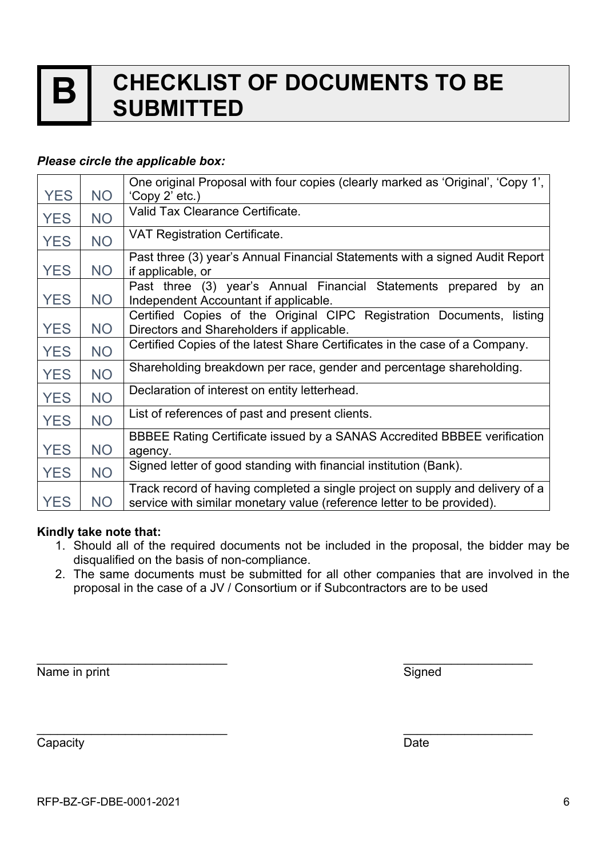### **B CHECKLIST OF DOCUMENTS TO BE SUBMITTED**

#### *Please circle the applicable box:*

|            |           | One original Proposal with four copies (clearly marked as 'Original', 'Copy 1',                                                                         |
|------------|-----------|---------------------------------------------------------------------------------------------------------------------------------------------------------|
| <b>YES</b> | NO        | 'Copy 2' etc.)                                                                                                                                          |
| <b>YES</b> | <b>NO</b> | Valid Tax Clearance Certificate.                                                                                                                        |
| <b>YES</b> | <b>NO</b> | <b>VAT Registration Certificate.</b>                                                                                                                    |
| <b>YES</b> | <b>NO</b> | Past three (3) year's Annual Financial Statements with a signed Audit Report<br>if applicable, or                                                       |
| <b>YES</b> | NO        | Past three (3) year's Annual Financial Statements prepared by an<br>Independent Accountant if applicable.                                               |
| <b>YES</b> | NO.       | Certified Copies of the Original CIPC Registration Documents, listing<br>Directors and Shareholders if applicable.                                      |
| <b>YES</b> | <b>NO</b> | Certified Copies of the latest Share Certificates in the case of a Company.                                                                             |
| <b>YES</b> | <b>NO</b> | Shareholding breakdown per race, gender and percentage shareholding.                                                                                    |
| <b>YES</b> | <b>NO</b> | Declaration of interest on entity letterhead.                                                                                                           |
| <b>YES</b> | <b>NO</b> | List of references of past and present clients.                                                                                                         |
| <b>YES</b> | <b>NO</b> | BBBEE Rating Certificate issued by a SANAS Accredited BBBEE verification<br>agency.                                                                     |
| <b>YES</b> | <b>NO</b> | Signed letter of good standing with financial institution (Bank).                                                                                       |
| <b>YES</b> | <b>NO</b> | Track record of having completed a single project on supply and delivery of a<br>service with similar monetary value (reference letter to be provided). |

#### **Kindly take note that:**

- 1. Should all of the required documents not be included in the proposal, the bidder may be disqualified on the basis of non-compliance.
- 2. The same documents must be submitted for all other companies that are involved in the proposal in the case of a JV / Consortium or if Subcontractors are to be used

Name in print Signed

 $\overline{\phantom{a}}$  , and the contract of the contract of the contract of the contract of the contract of the contract of the contract of the contract of the contract of the contract of the contract of the contract of the contrac

 $\overline{\phantom{a}}$  , and the contract of the contract of the contract of the contract of the contract of the contract of the contract of the contract of the contract of the contract of the contract of the contract of the contrac

Capacity **Date**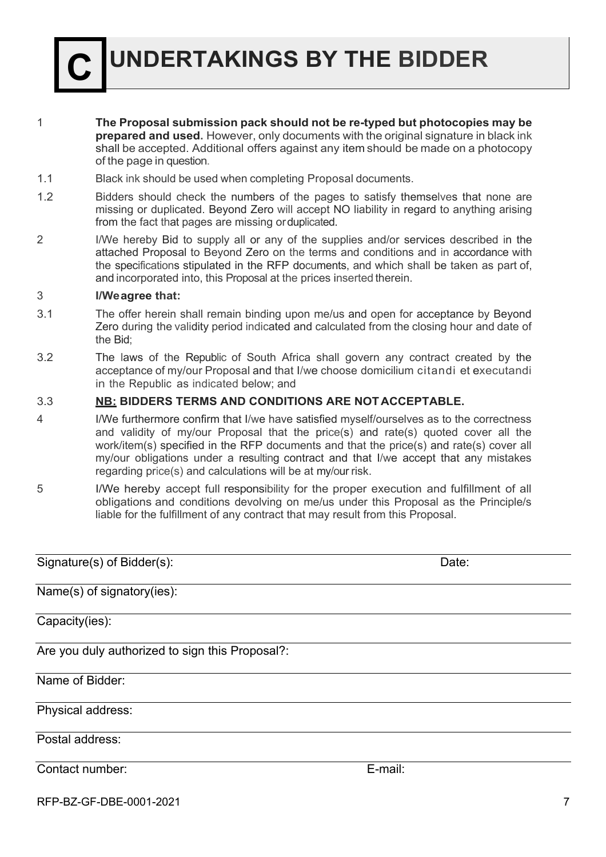**C UNDERTAKINGS BY THE BIDDER**

- 1 **The Proposal submission pack should not be re-typed but photocopies may be prepared and used.** However, only documents with the original signature in black ink shall be accepted. Additional offers against any item should be made on a photocopy of the page in question.
- 1.1 Black ink should be used when completing Proposal documents.
- 1.2 Bidders should check the numbers of the pages to satisfy themselves that none are missing or duplicated. Beyond Zero will accept NO liability in regard to anything arising from the fact that pages are missing orduplicated.
- 2 I/We hereby Bid to supply all or any of the supplies and/or services described in the attached Proposal to Beyond Zero on the terms and conditions and in accordance with the specifications stipulated in the RFP documents, and which shall be taken as part of, and incorporated into, this Proposal at the prices inserted therein.

#### 3 **I/Weagree that:**

- 3.1 The offer herein shall remain binding upon me/us and open for acceptance by Beyond Zero during the validity period indicated and calculated from the closing hour and date of the Bid;
- 3.2 The laws of the Republic of South Africa shall govern any contract created by the acceptance of my/our Proposal and that I/we choose domicilium citandi et executandi in the Republic as indicated below; and

#### 3.3 **NB: BIDDERS TERMS AND CONDITIONS ARE NOTACCEPTABLE.**

- 4 I/We furthermore confirm that I/we have satisfied myself/ourselves as to the correctness and validity of my/our Proposal that the price(s) and rate(s) quoted cover all the work/item(s) specified in the RFP documents and that the price(s) and rate(s) cover all my/our obligations under a resulting contract and that I/we accept that any mistakes regarding price(s) and calculations will be at my/our risk.
- 5 I/We hereby accept full responsibility for the proper execution and fulfillment of all obligations and conditions devolving on me/us under this Proposal as the Principle/s liable for the fulfillment of any contract that may result from this Proposal.

Signature(s) of Bidder(s): Date: Date: Name(s) of signatory(ies): Capacity(ies): Are you duly authorized to sign this Proposal?: Name of Bidder: Physical address: Postal address: Contact number: E-mail:

RFP-BZ-GF-DBE-0001-2021 7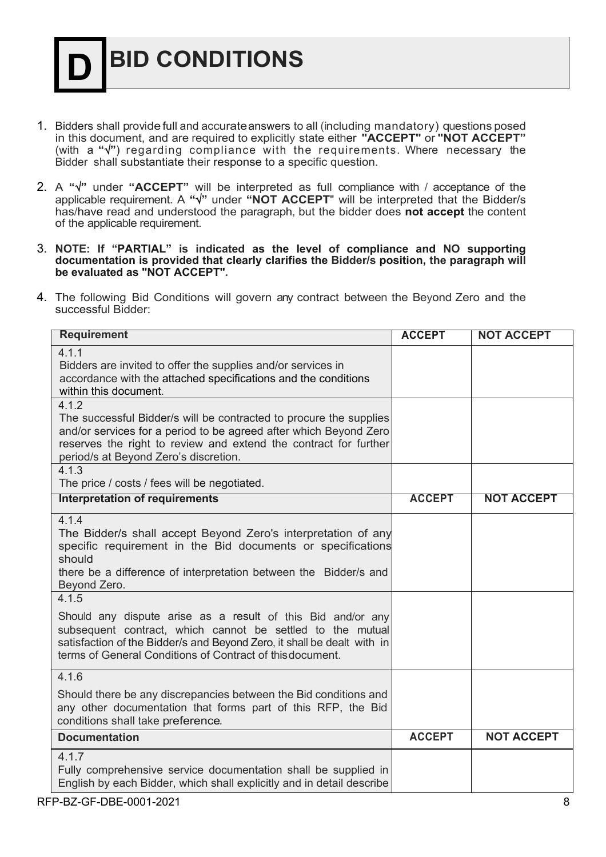## **D BID CONDITIONS**

- 1. Bidders shall provide full and accurateanswers to all (including mandatory) questions posed in this document, and are required to explicitly state either **"ACCEPT"** or **"NOT ACCEPT"** (with a " $\sqrt{ }$ ") regarding compliance with the requirements. Where necessary the Bidder shall substantiate their response to a specific question.
- 2. A **"**Ö**"** under **"ACCEPT"** will be interpreted as full compliance with / acceptance of the applicable requirement. A **"**Ö**"** under **"NOT ACCEPT**" will be interpreted that the Bidder/s has/have read and understood the paragraph, but the bidder does **not accept** the content of the applicable requirement.
- 3. **NOTE: If "PARTIAL" is indicated as the level of compliance and NO supporting documentation is provided that clearly clarifies the Bidder/s position, the paragraph will be evaluated as "NOT ACCEPT".**
- 4. The following Bid Conditions will govern any contract between the Beyond Zero and the successful Bidder:

| <b>Requirement</b>                                                                                                                                                                                                                                                         | <b>ACCEPT</b> | <b>NOT ACCEPT</b> |
|----------------------------------------------------------------------------------------------------------------------------------------------------------------------------------------------------------------------------------------------------------------------------|---------------|-------------------|
| 4.1.1<br>Bidders are invited to offer the supplies and/or services in<br>accordance with the attached specifications and the conditions<br>within this document.                                                                                                           |               |                   |
| 4.1.2<br>The successful Bidder/s will be contracted to procure the supplies<br>and/or services for a period to be agreed after which Beyond Zero<br>reserves the right to review and extend the contract for further<br>period/s at Beyond Zero's discretion.              |               |                   |
| 4.1.3<br>The price / costs / fees will be negotiated.                                                                                                                                                                                                                      |               |                   |
| <b>Interpretation of requirements</b>                                                                                                                                                                                                                                      | <b>ACCEPT</b> | <b>NOT ACCEPT</b> |
| 4.1.4<br>The Bidder/s shall accept Beyond Zero's interpretation of any<br>specific requirement in the Bid documents or specifications<br>should<br>there be a difference of interpretation between the Bidder/s and<br>Beyond Zero.                                        |               |                   |
| 4.1.5<br>Should any dispute arise as a result of this Bid and/or any<br>subsequent contract, which cannot be settled to the mutual<br>satisfaction of the Bidder/s and Beyond Zero, it shall be dealt with in<br>terms of General Conditions of Contract of this document. |               |                   |
| 4.1.6<br>Should there be any discrepancies between the Bid conditions and<br>any other documentation that forms part of this RFP, the Bid<br>conditions shall take preference.                                                                                             |               |                   |
| <b>Documentation</b>                                                                                                                                                                                                                                                       | <b>ACCEPT</b> | <b>NOT ACCEPT</b> |
| 4.1.7<br>Fully comprehensive service documentation shall be supplied in<br>English by each Bidder, which shall explicitly and in detail describe                                                                                                                           |               |                   |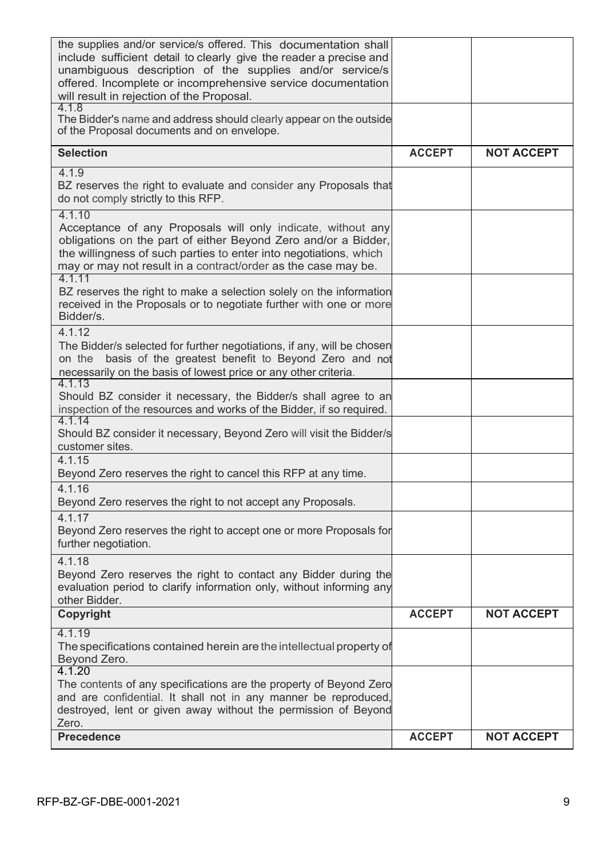| <b>Precedence</b>                                                                                                                                                                                                                                                                                              | <b>ACCEPT</b> | <b>NOT ACCEPT</b> |
|----------------------------------------------------------------------------------------------------------------------------------------------------------------------------------------------------------------------------------------------------------------------------------------------------------------|---------------|-------------------|
| 4.1.20<br>The contents of any specifications are the property of Beyond Zero<br>and are confidential. It shall not in any manner be reproduced,<br>destroyed, lent or given away without the permission of Beyond<br>Zero.                                                                                     |               |                   |
| 4.1.19<br>The specifications contained herein are the intellectual property of<br>Beyond Zero.                                                                                                                                                                                                                 |               |                   |
| Copyright                                                                                                                                                                                                                                                                                                      | <b>ACCEPT</b> | <b>NOT ACCEPT</b> |
| 4.1.18<br>Beyond Zero reserves the right to contact any Bidder during the<br>evaluation period to clarify information only, without informing any<br>other Bidder.                                                                                                                                             |               |                   |
| 4.1.17<br>Beyond Zero reserves the right to accept one or more Proposals for<br>further negotiation.                                                                                                                                                                                                           |               |                   |
| 4.1.16<br>Beyond Zero reserves the right to not accept any Proposals.                                                                                                                                                                                                                                          |               |                   |
| Beyond Zero reserves the right to cancel this RFP at any time.                                                                                                                                                                                                                                                 |               |                   |
| 4.1.14<br>Should BZ consider it necessary, Beyond Zero will visit the Bidder/s<br>customer sites.<br>4.1.15                                                                                                                                                                                                    |               |                   |
| 4.1.13<br>Should BZ consider it necessary, the Bidder/s shall agree to an<br>inspection of the resources and works of the Bidder, if so required.                                                                                                                                                              |               |                   |
| 4.1.12<br>The Bidder/s selected for further negotiations, if any, will be chosen<br>basis of the greatest benefit to Beyond Zero and not<br>on the<br>necessarily on the basis of lowest price or any other criteria.                                                                                          |               |                   |
| 4.1.11<br>BZ reserves the right to make a selection solely on the information<br>received in the Proposals or to negotiate further with one or more<br>Bidder/s.                                                                                                                                               |               |                   |
| 4.1.10<br>Acceptance of any Proposals will only indicate, without any<br>obligations on the part of either Beyond Zero and/or a Bidder,<br>the willingness of such parties to enter into negotiations, which<br>may or may not result in a contract/order as the case may be.                                  |               |                   |
| 4.1.9<br>BZ reserves the right to evaluate and consider any Proposals that<br>do not comply strictly to this RFP.                                                                                                                                                                                              |               |                   |
| <b>Selection</b>                                                                                                                                                                                                                                                                                               | <b>ACCEPT</b> | <b>NOT ACCEPT</b> |
| 4.1.8<br>The Bidder's name and address should clearly appear on the outside<br>of the Proposal documents and on envelope.                                                                                                                                                                                      |               |                   |
| the supplies and/or service/s offered. This documentation shall<br>include sufficient detail to clearly give the reader a precise and<br>unambiguous description of the supplies and/or service/s<br>offered. Incomplete or incomprehensive service documentation<br>will result in rejection of the Proposal. |               |                   |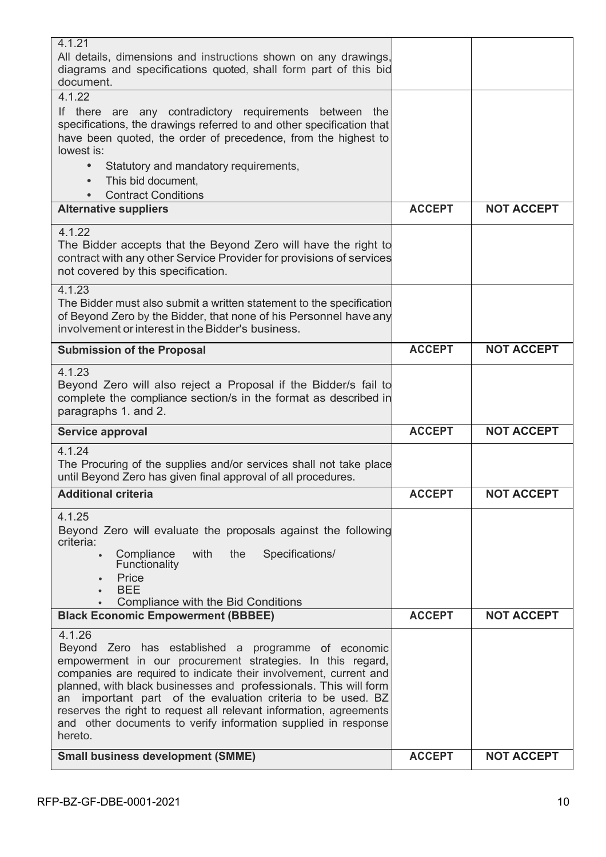| <b>Small business development (SMME)</b>                                                                                                                                                                                                                                                                                                                                                                                                                                                  | <b>ACCEPT</b> | <b>NOT ACCEPT</b> |
|-------------------------------------------------------------------------------------------------------------------------------------------------------------------------------------------------------------------------------------------------------------------------------------------------------------------------------------------------------------------------------------------------------------------------------------------------------------------------------------------|---------------|-------------------|
| 4.1.26<br>Beyond Zero has established a programme of economic<br>empowerment in our procurement strategies. In this regard,<br>companies are required to indicate their involvement, current and<br>planned, with black businesses and professionals. This will form<br>important part of the evaluation criteria to be used. BZ<br>an<br>reserves the right to request all relevant information, agreements<br>and other documents to verify information supplied in response<br>hereto. |               |                   |
| <b>Black Economic Empowerment (BBBEE)</b>                                                                                                                                                                                                                                                                                                                                                                                                                                                 | <b>ACCEPT</b> | <b>NOT ACCEPT</b> |
| Compliance<br>with<br>the<br>Specifications/<br>$\bullet$<br>Functionality<br>Price<br>$\bullet$<br><b>BEE</b><br>Compliance with the Bid Conditions                                                                                                                                                                                                                                                                                                                                      |               |                   |
| 4.1.25<br>Beyond Zero will evaluate the proposals against the following<br>criteria:                                                                                                                                                                                                                                                                                                                                                                                                      |               |                   |
| <b>Additional criteria</b>                                                                                                                                                                                                                                                                                                                                                                                                                                                                | <b>ACCEPT</b> | <b>NOT ACCEPT</b> |
| 4.1.24<br>The Procuring of the supplies and/or services shall not take place<br>until Beyond Zero has given final approval of all procedures.                                                                                                                                                                                                                                                                                                                                             |               |                   |
| Service approval                                                                                                                                                                                                                                                                                                                                                                                                                                                                          | <b>ACCEPT</b> | <b>NOT ACCEPT</b> |
| 4.1.23<br>Beyond Zero will also reject a Proposal if the Bidder/s fail to<br>complete the compliance section/s in the format as described in<br>paragraphs 1. and 2.                                                                                                                                                                                                                                                                                                                      |               |                   |
| <b>Submission of the Proposal</b>                                                                                                                                                                                                                                                                                                                                                                                                                                                         | <b>ACCEPT</b> | <b>NOT ACCEPT</b> |
| 4.1.23<br>The Bidder must also submit a written statement to the specification<br>of Beyond Zero by the Bidder, that none of his Personnel have any<br>involvement or interest in the Bidder's business.                                                                                                                                                                                                                                                                                  |               |                   |
| 4.1.22<br>The Bidder accepts that the Beyond Zero will have the right to<br>contract with any other Service Provider for provisions of services<br>not covered by this specification.                                                                                                                                                                                                                                                                                                     |               |                   |
| <b>Alternative suppliers</b>                                                                                                                                                                                                                                                                                                                                                                                                                                                              | <b>ACCEPT</b> | <b>NOT ACCEPT</b> |
| specifications, the drawings referred to and other specification that<br>have been quoted, the order of precedence, from the highest to<br>lowest is:<br>Statutory and mandatory requirements,<br>$\bullet$<br>This bid document.<br>$\bullet$<br><b>Contract Conditions</b>                                                                                                                                                                                                              |               |                   |
| 4.1.22<br>If there are any contradictory requirements between<br>the                                                                                                                                                                                                                                                                                                                                                                                                                      |               |                   |
| All details, dimensions and instructions shown on any drawings,<br>diagrams and specifications quoted, shall form part of this bid<br>document.                                                                                                                                                                                                                                                                                                                                           |               |                   |
| 4.1.21                                                                                                                                                                                                                                                                                                                                                                                                                                                                                    |               |                   |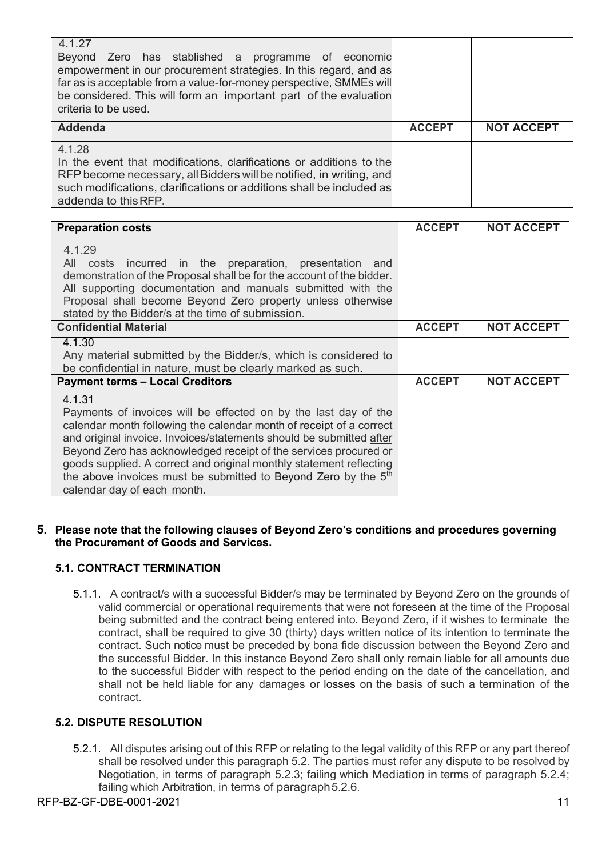| 4 1 2 7<br>Beyond Zero has stablished a programme of economic<br>empowerment in our procurement strategies. In this regard, and as<br>far as is acceptable from a value-for-money perspective, SMMEs will<br>be considered. This will form an important part of the evaluation<br>criteria to be used. |               |                   |
|--------------------------------------------------------------------------------------------------------------------------------------------------------------------------------------------------------------------------------------------------------------------------------------------------------|---------------|-------------------|
| <b>Addenda</b>                                                                                                                                                                                                                                                                                         | <b>ACCEPT</b> | <b>NOT ACCEPT</b> |
|                                                                                                                                                                                                                                                                                                        |               |                   |

| <b>Preparation costs</b>                                                                                                                                                                                                                                                                                                                                                                                                                                                        | <b>ACCEPT</b> | <b>NOT ACCEPT</b> |
|---------------------------------------------------------------------------------------------------------------------------------------------------------------------------------------------------------------------------------------------------------------------------------------------------------------------------------------------------------------------------------------------------------------------------------------------------------------------------------|---------------|-------------------|
| 4.1.29<br>costs incurred in the preparation, presentation and<br>All<br>demonstration of the Proposal shall be for the account of the bidder.<br>All supporting documentation and manuals submitted with the<br>Proposal shall become Beyond Zero property unless otherwise<br>stated by the Bidder/s at the time of submission.                                                                                                                                                |               |                   |
| <b>Confidential Material</b>                                                                                                                                                                                                                                                                                                                                                                                                                                                    | <b>ACCEPT</b> | <b>NOT ACCEPT</b> |
| 4.1.30<br>Any material submitted by the Bidder/s, which is considered to<br>be confidential in nature, must be clearly marked as such.                                                                                                                                                                                                                                                                                                                                          |               |                   |
| <b>Payment terms - Local Creditors</b>                                                                                                                                                                                                                                                                                                                                                                                                                                          | <b>ACCEPT</b> | <b>NOT ACCEPT</b> |
| 4.1.31<br>Payments of invoices will be effected on by the last day of the<br>calendar month following the calendar month of receipt of a correct<br>and original invoice. Invoices/statements should be submitted after<br>Beyond Zero has acknowledged receipt of the services procured or<br>goods supplied. A correct and original monthly statement reflecting<br>the above invoices must be submitted to Beyond Zero by the 5 <sup>th</sup><br>calendar day of each month. |               |                   |

#### **5. Please note that the following clauses of Beyond Zero's conditions and procedures governing the Procurement of Goods and Services.**

#### **5.1. CONTRACT TERMINATION**

5.1.1. A contract/s with a successful Bidder/s may be terminated by Beyond Zero on the grounds of valid commercial or operational requirements that were not foreseen at the time of the Proposal being submitted and the contract being entered into. Beyond Zero, if it wishes to terminate the contract, shall be required to give 30 (thirty) days written notice of its intention to terminate the contract. Such notice must be preceded by bona fide discussion between the Beyond Zero and the successful Bidder. In this instance Beyond Zero shall only remain liable for all amounts due to the successful Bidder with respect to the period ending on the date of the cancellation, and shall not be held liable for any damages or losses on the basis of such a termination of the contract.

#### **5.2. DISPUTE RESOLUTION**

5.2.1. All disputes arising out of this RFP or relating to the legal validity of this RFP or any part thereof shall be resolved under this paragraph 5.2. The parties must refer any dispute to be resolved by Negotiation, in terms of paragraph 5.2.3; failing which Mediation in terms of paragraph 5.2.4; failing which Arbitration, in terms of paragraph5.2.6.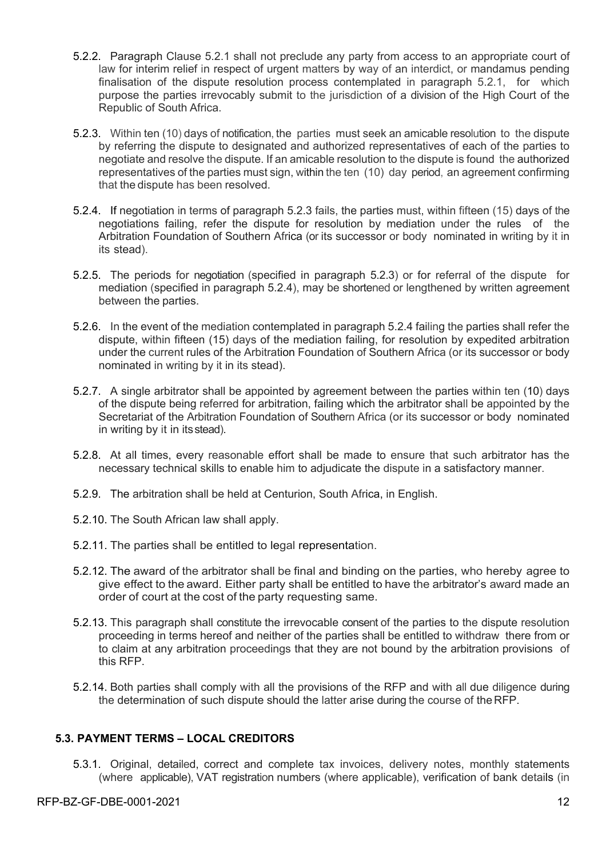- 5.2.2. Paragraph Clause 5.2.1 shall not preclude any party from access to an appropriate court of law for interim relief in respect of urgent matters by way of an interdict, or mandamus pending finalisation of the dispute resolution process contemplated in paragraph 5.2.1, for which purpose the parties irrevocably submit to the jurisdiction of a division of the High Court of the Republic of South Africa.
- 5.2.3. Within ten (10) days of notification, the parties must seek an amicable resolution to the dispute by referring the dispute to designated and authorized representatives of each of the parties to negotiate and resolve the dispute. If an amicable resolution to the dispute is found the authorized representatives of the parties must sign, within the ten (10) day period, an agreement confirming that the dispute has been resolved.
- 5.2.4. If negotiation in terms of paragraph 5.2.3 fails, the parties must, within fifteen (15) days of the negotiations failing, refer the dispute for resolution by mediation under the rules of the Arbitration Foundation of Southern Africa (or its successor or body nominated in writing by it in its stead).
- 5.2.5. The periods for negotiation (specified in paragraph 5.2.3) or for referral of the dispute for mediation (specified in paragraph 5.2.4), may be shortened or lengthened by written agreement between the parties.
- 5.2.6. In the event of the mediation contemplated in paragraph 5.2.4 failing the parties shall refer the dispute, within fifteen (15) days of the mediation failing, for resolution by expedited arbitration under the current rules of the Arbitration Foundation of Southern Africa (or its successor or body nominated in writing by it in its stead).
- 5.2.7. A single arbitrator shall be appointed by agreement between the parties within ten (10) days of the dispute being referred for arbitration, failing which the arbitrator shall be appointed by the Secretariat of the Arbitration Foundation of Southern Africa (or its successor or body nominated in writing by it in itsstead).
- 5.2.8. At all times, every reasonable effort shall be made to ensure that such arbitrator has the necessary technical skills to enable him to adjudicate the dispute in a satisfactory manner.
- 5.2.9. The arbitration shall be held at Centurion, South Africa, in English.
- 5.2.10. The South African law shall apply.
- 5.2.11. The parties shall be entitled to legal representation.
- 5.2.12. The award of the arbitrator shall be final and binding on the parties, who hereby agree to give effect to the award. Either party shall be entitled to have the arbitrator's award made an order of court at the cost of the party requesting same.
- 5.2.13. This paragraph shall constitute the irrevocable consent of the parties to the dispute resolution proceeding in terms hereof and neither of the parties shall be entitled to withdraw there from or to claim at any arbitration proceedings that they are not bound by the arbitration provisions of this RFP.
- 5.2.14. Both parties shall comply with all the provisions of the RFP and with all due diligence during the determination of such dispute should the latter arise during the course of the RFP.

#### **5.3. PAYMENT TERMS – LOCAL CREDITORS**

5.3.1. Original, detailed, correct and complete tax invoices, delivery notes, monthly statements (where applicable), VAT registration numbers (where applicable), verification of bank details (in

#### RFP-BZ-GF-DBE-0001-2021 12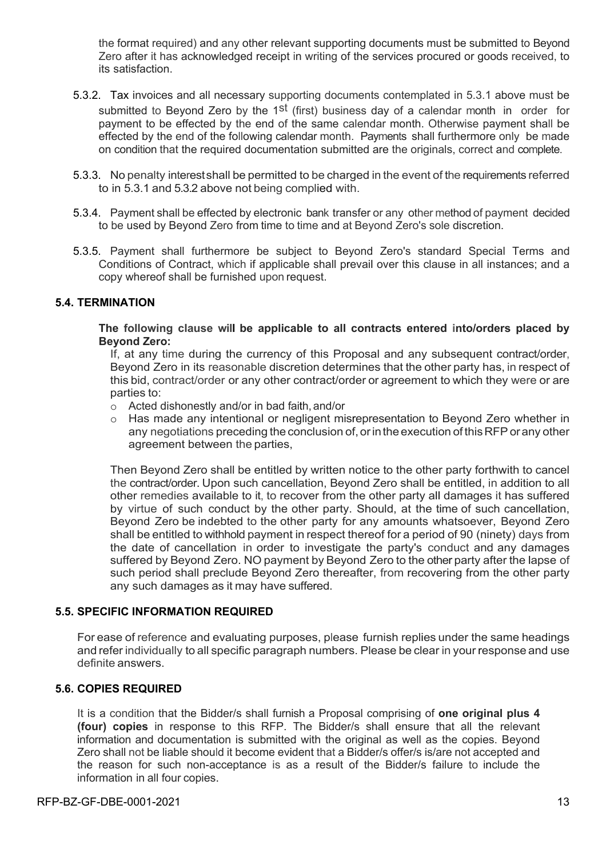the format required) and any other relevant supporting documents must be submitted to Beyond Zero after it has acknowledged receipt in writing of the services procured or goods received, to its satisfaction.

- 5.3.2. Tax invoices and all necessary supporting documents contemplated in 5.3.1 above must be submitted to Beyond Zero by the 1<sup>st</sup> (first) business day of a calendar month in order for payment to be effected by the end of the same calendar month. Otherwise payment shall be effected by the end of the following calendar month. Payments shall furthermore only be made on condition that the required documentation submitted are the originals, correct and complete.
- 5.3.3. No penalty interestshall be permitted to be charged in the event of the requirements referred to in 5.3.1 and 5.3.2 above not being complied with.
- 5.3.4. Payment shall be effected by electronic bank transfer or any other method of payment decided to be used by Beyond Zero from time to time and at Beyond Zero's sole discretion.
- 5.3.5. Payment shall furthermore be subject to Beyond Zero's standard Special Terms and Conditions of Contract, which if applicable shall prevail over this clause in all instances; and a copy whereof shall be furnished upon request.

#### **5.4. TERMINATION**

**The following clause will be applicable to all contracts entered into/orders placed by Beyond Zero:**

If, at any time during the currency of this Proposal and any subsequent contract/order, Beyond Zero in its reasonable discretion determines that the other party has, in respect of this bid, contract/order or any other contract/order or agreement to which they were or are parties to:

- o Acted dishonestly and/or in bad faith, and/or
- o Has made any intentional or negligent misrepresentation to Beyond Zero whether in any negotiations preceding the conclusion of, or in the execution of this RFP or any other agreement between the parties,

Then Beyond Zero shall be entitled by written notice to the other party forthwith to cancel the contract/order. Upon such cancellation, Beyond Zero shall be entitled, in addition to all other remedies available to it, to recover from the other party all damages it has suffered by virtue of such conduct by the other party. Should, at the time of such cancellation, Beyond Zero be indebted to the other party for any amounts whatsoever, Beyond Zero shall be entitled to withhold payment in respect thereof for a period of 90 (ninety) days from the date of cancellation in order to investigate the party's conduct and any damages suffered by Beyond Zero. NO payment by Beyond Zero to the other party after the lapse of such period shall preclude Beyond Zero thereafter, from recovering from the other party any such damages as it may have suffered.

#### **5.5. SPECIFIC INFORMATION REQUIRED**

For ease of reference and evaluating purposes, please furnish replies under the same headings and refer individually to all specific paragraph numbers. Please be clear in your response and use definite answers.

#### **5.6. COPIES REQUIRED**

It is a condition that the Bidder/s shall furnish a Proposal comprising of **one original plus 4 (four) copies** in response to this RFP. The Bidder/s shall ensure that all the relevant information and documentation is submitted with the original as well as the copies. Beyond Zero shall not be liable should it become evident that a Bidder/s offer/s is/are not accepted and the reason for such non-acceptance is as a result of the Bidder/s failure to include the information in all four copies.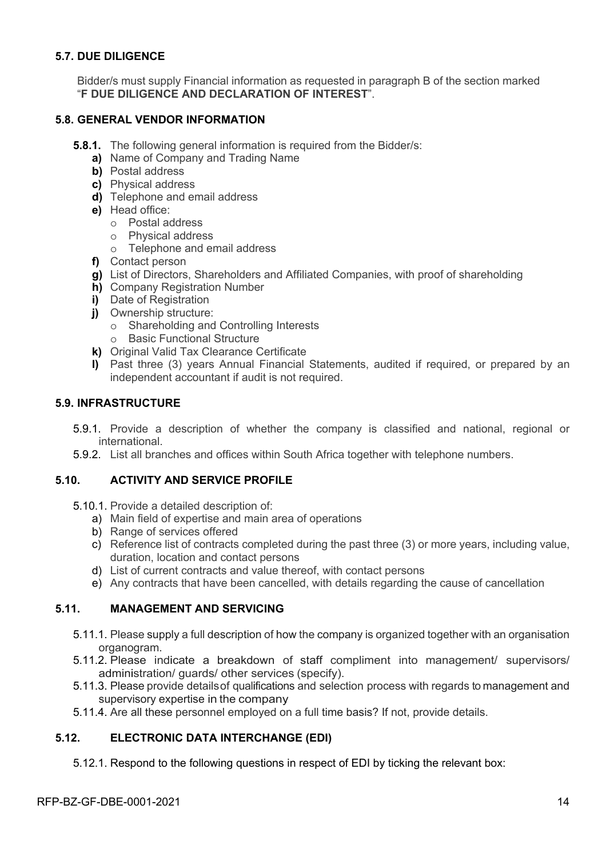#### **5.7. DUE DILIGENCE**

Bidder/s must supply Financial information as requested in paragraph B of the section marked "**F DUE DILIGENCE AND DECLARATION OF INTEREST**".

#### **5.8. GENERAL VENDOR INFORMATION**

- **5.8.1.** The following general information is required from the Bidder/s:
	- **a)** Name of Company and Trading Name
	- **b)** Postal address
	- **c)** Physical address
	- **d)** Telephone and email address
	- **e)** Head office:
		- o Postal address
		- o Physical address
		- o Telephone and email address
	- **f)** Contact person
	- **g)** List of Directors, Shareholders and Affiliated Companies, with proof of shareholding
	- **h)** Company Registration Number
	- **i)** Date of Registration
	- **j)** Ownership structure:
		- o Shareholding and Controlling Interests
		- o Basic Functional Structure
	- **k)** Original Valid Tax Clearance Certificate
	- **l)** Past three (3) years Annual Financial Statements, audited if required, or prepared by an independent accountant if audit is not required.

#### **5.9. INFRASTRUCTURE**

- 5.9.1. Provide a description of whether the company is classified and national, regional or international.
- 5.9.2. List all branches and offices within South Africa together with telephone numbers.

#### **5.10. ACTIVITY AND SERVICE PROFILE**

- 5.10.1. Provide a detailed description of:
	- a) Main field of expertise and main area of operations
	- b) Range of services offered
	- c) Reference list of contracts completed during the past three (3) or more years, including value, duration, location and contact persons
	- d) List of current contracts and value thereof, with contact persons
	- e) Any contracts that have been cancelled, with details regarding the cause of cancellation

#### **5.11. MANAGEMENT AND SERVICING**

- 5.11.1. Please supply a full description of how the company is organized together with an organisation organogram.
- 5.11.2. Please indicate a breakdown of staff compliment into management/ supervisors/ administration/ guards/ other services (specify).
- 5.11.3. Please provide detailsof qualifications and selection process with regards to management and supervisory expertise in the company.
- 5.11.4. Are all these personnel employed on a full time basis? If not, provide details.

#### **5.12. ELECTRONIC DATA INTERCHANGE (EDI)**

5.12.1. Respond to the following questions in respect of EDI by ticking the relevant box: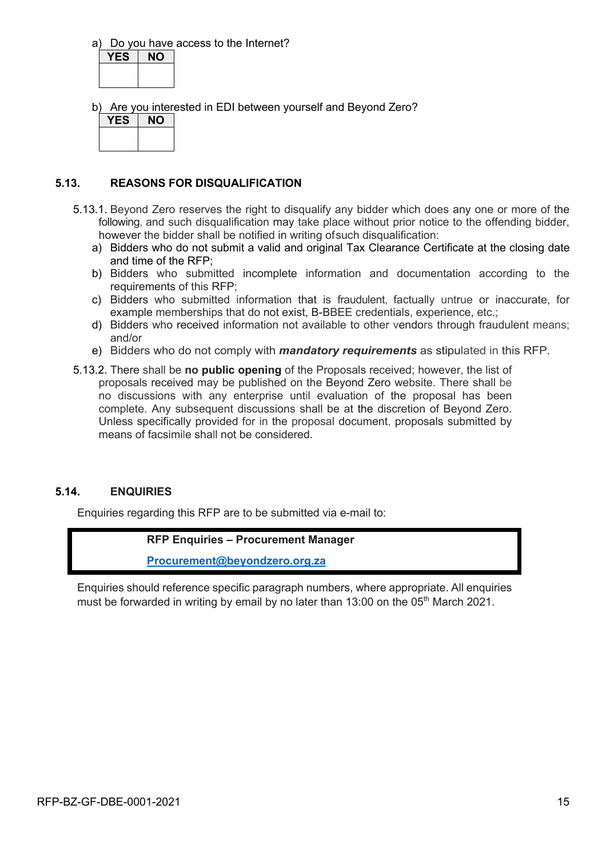a) Do you have access to the Internet?

**YES NO**

b) Are you interested in EDI between yourself and Beyond Zero?

| YES | <b>NO</b> |
|-----|-----------|
|     |           |
|     |           |

#### **5.13. REASONS FOR DISQUALIFICATION**

- 5.13.1. Beyond Zero reserves the right to disqualify any bidder which does any one or more of the following, and such disqualification may take place without prior notice to the offending bidder, however the bidder shall be notified in writing ofsuch disqualification:
	- a) Bidders who do not submit a valid and original Tax Clearance Certificate at the closing date and time of the RFP;
	- b) Bidders who submitted incomplete information and documentation according to the requirements of this RFP;
	- c) Bidders who submitted information that is fraudulent, factually untrue or inaccurate, for example memberships that do not exist, B-BBEE credentials, experience, etc.;
	- d) Bidders who received information not available to other vendors through fraudulent means; and/or
	- e) Bidders who do not comply with *mandatory requirements* as stipulated in this RFP.
- 5.13.2. There shall be **no public opening** of the Proposals received; however, the list of proposals received may be published on the Beyond Zero website. There shall be no discussions with any enterprise until evaluation of the proposal has been complete. Any subsequent discussions shall be at the discretion of Beyond Zero. Unless specifically provided for in the proposal document, proposals submitted by means of facsimile shall not be considered.

#### **5.14. ENQUIRIES**

Enquiries regarding this RFP are to be submitted via e-mail to:

#### **RFP Enquiries – Procurement Manager**

**Procurement@beyondzero.org.za**

Enquiries should reference specific paragraph numbers, where appropriate. All enquiries must be forwarded in writing by email by no later than 13:00 on the 05<sup>th</sup> March 2021.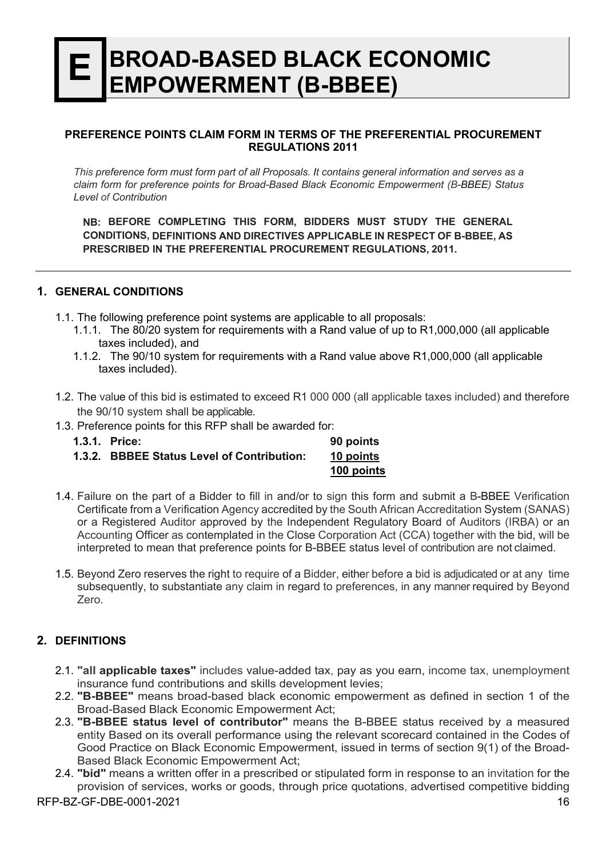## **E BROAD-BASED BLACK ECONOMIC EMPOWERMENT (B-BBEE)**

#### **PREFERENCE POINTS CLAIM FORM IN TERMS OF THE PREFERENTIAL PROCUREMENT REGULATIONS 2011**

*This preference form must form part of all Proposals. It contains general information and serves as a claim form for preference points for Broad-Based Black Economic Empowerment (B-BBEE) Status Level of Contribution*

**NB: BEFORE COMPLETING THIS FORM, BIDDERS MUST STUDY THE GENERAL CONDITIONS, DEFINITIONS AND DIRECTIVES APPLICABLE IN RESPECT OF B-BBEE, AS PRESCRIBED IN THE PREFERENTIAL PROCUREMENT REGULATIONS, 2011.**

#### **1. GENERAL CONDITIONS**

- 1.1. The following preference point systems are applicable to all proposals:
	- 1.1.1. The 80/20 system for requirements with a Rand value of up to R1,000,000 (all applicable taxes included), and
	- 1.1.2. The 90/10 system for requirements with a Rand value above R1,000,000 (all applicable taxes included).
- 1.2. The value of this bid is estimated to exceed R1 000 000 (all applicable taxes included) and therefore the 90/10 system shall be applicable.
- 1.3. Preference points for this RFP shall be awarded for:

| <b>1.3.1. Price:</b>                       | 90 points  |
|--------------------------------------------|------------|
| 1.3.2. BBBEE Status Level of Contribution: | 10 points  |
|                                            | 100 points |

- 1.4. Failure on the part of a Bidder to fill in and/or to sign this form and submit a B-BBEE Verification Certificate from a Verification Agency accredited by the South African Accreditation System (SANAS) or a Registered Auditor approved by the Independent Regulatory Board of Auditors (IRBA) or an Accounting Officer as contemplated in the Close Corporation Act (CCA) together with the bid, will be interpreted to mean that preference points for B-BBEE status level of contribution are not claimed.
- 1.5. Beyond Zero reserves the right to require of a Bidder, either before a bid is adjudicated or at any time subsequently, to substantiate any claim in regard to preferences, in any manner required by Beyond Zero.

#### **2. DEFINITIONS**

- 2.1. **"all applicable taxes"** includes value-added tax, pay as you earn, income tax, unemployment insurance fund contributions and skills development levies;
- 2.2. **"B-BBEE"** means broad-based black economic empowerment as defined in section 1 of the Broad-Based Black Economic Empowerment Act;
- 2.3. **"B-BBEE status level of contributor"** means the B-BBEE status received by a measured entity Based on its overall performance using the relevant scorecard contained in the Codes of Good Practice on Black Economic Empowerment, issued in terms of section 9(1) of the Broad-Based Black Economic Empowerment Act;
- 2.4. **"bid"** means a written offer in a prescribed or stipulated form in response to an invitation for the provision of services, works or goods, through price quotations, advertised competitive bidding

#### RFP-BZ-GF-DBE-0001-2021 16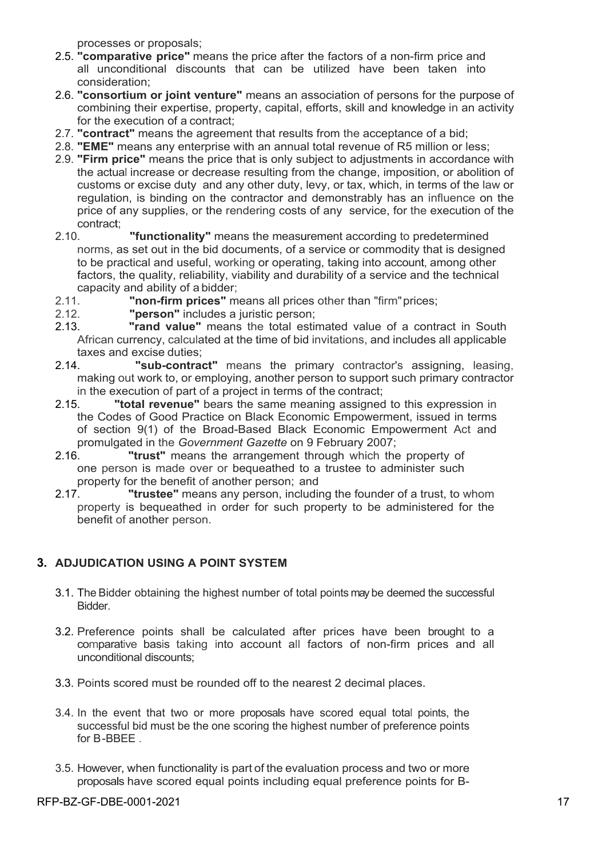processes or proposals;

- 2.5. **"comparative price"** means the price after the factors of a non-firm price and all unconditional discounts that can be utilized have been taken into consideration;
- 2.6. **"consortium or joint venture"** means an association of persons for the purpose of combining their expertise, property, capital, efforts, skill and knowledge in an activity for the execution of a contract:
- 2.7. **"contract"** means the agreement that results from the acceptance of a bid;
- 2.8. **"EME"** means any enterprise with an annual total revenue of R5 million or less;
- 2.9. **"Firm price"** means the price that is only subject to adjustments in accordance with the actual increase or decrease resulting from the change, imposition, or abolition of customs or excise duty and any other duty, levy, or tax, which, in terms of the law or regulation, is binding on the contractor and demonstrably has an influence on the price of any supplies, or the rendering costs of any service, for the execution of the contract;
- 2.10. **"functionality"** means the measurement according to predetermined norms, as set out in the bid documents, of a service or commodity that is designed to be practical and useful, working or operating, taking into account, among other factors, the quality, reliability, viability and durability of a service and the technical capacity and ability of a bidder;
- 2.11. **"non-firm prices"** means all prices other than "firm"prices;
- 2.12. **"person"** includes a juristic person;
- 2.13. **"rand value"** means the total estimated value of a contract in South African currency, calculated at the time of bid invitations, and includes all applicable taxes and excise duties;
- 2.14. **"sub-contract"** means the primary contractor's assigning, leasing, making out work to, or employing, another person to support such primary contractor in the execution of part of a project in terms of the contract;
- 2.15. **"total revenue"** bears the same meaning assigned to this expression in the Codes of Good Practice on Black Economic Empowerment, issued in terms of section 9(1) of the Broad-Based Black Economic Empowerment Act and promulgated in the *Government Gazette* on 9 February 2007;
- 2.16. **"trust"** means the arrangement through which the property of one person is made over or bequeathed to a trustee to administer such property for the benefit of another person; and
- 2.17. **"trustee"** means any person, including the founder of a trust, to whom property is bequeathed in order for such property to be administered for the benefit of another person.

#### **3. ADJUDICATION USING A POINT SYSTEM**

- 3.1. The Bidder obtaining the highest number of total points maybe deemed the successful Bidder.
- 3.2. Preference points shall be calculated after prices have been brought to a comparative basis taking into account all factors of non-firm prices and all unconditional discounts;
- 3.3. Points scored must be rounded off to the nearest 2 decimal places.
- 3.4. In the event that two or more proposals have scored equal total points, the successful bid must be the one scoring the highest number of preference points for B-BBEE .
- 3.5. However, when functionality is part of the evaluation process and two or more proposals have scored equal points including equal preference points for B-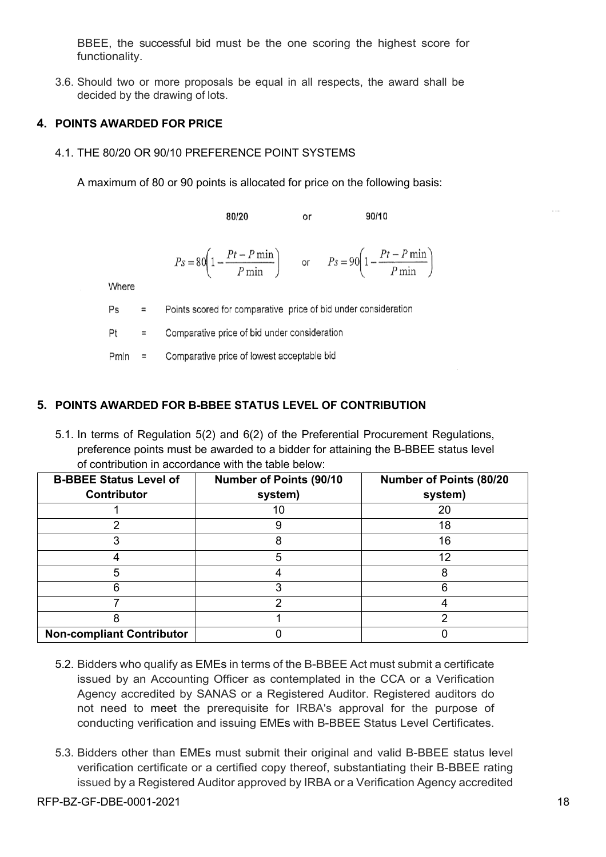BBEE, the successful bid must be the one scoring the highest score for functionality.

3.6. Should two or more proposals be equal in all respects, the award shall be decided by the drawing of lots.

#### **4. POINTS AWARDED FOR PRICE**

4.1. THE 80/20 OR 90/10 PREFERENCE POINT SYSTEMS

A maximum of 80 or 90 points is allocated for price on the following basis:

80/20 90/10 or

 $Ps = 80\left(1 - \frac{Pt - P \min}{P \min}\right)$  or  $Ps = 90\left(1 - \frac{Pt - P \min}{P \min}\right)$ 

Where

 $Ps$  $\equiv$ Points scored for comparative price of bid under consideration

 $P<sub>+</sub>$  $=$ Comparative price of bid under consideration

Comparative price of lowest acceptable bid  $Pmin =$ 

#### **5. POINTS AWARDED FOR B-BBEE STATUS LEVEL OF CONTRIBUTION**

5.1. In terms of Regulation 5(2) and 6(2) of the Preferential Procurement Regulations, preference points must be awarded to a bidder for attaining the B-BBEE status level of contribution in accordance with the table below:

| <b>B-BBEE Status Level of</b>    | <b>Number of Points (90/10</b> | <b>Number of Points (80/20</b> |
|----------------------------------|--------------------------------|--------------------------------|
| <b>Contributor</b>               | system)                        | system)                        |
|                                  |                                | 20                             |
|                                  |                                | 18                             |
|                                  |                                | 16                             |
|                                  | 5                              | 12                             |
|                                  |                                |                                |
|                                  |                                |                                |
|                                  |                                |                                |
|                                  |                                |                                |
| <b>Non-compliant Contributor</b> |                                |                                |

- 5.2. Bidders who qualify as EMEs in terms of the B-BBEE Act must submit a certificate issued by an Accounting Officer as contemplated in the CCA or a Verification Agency accredited by SANAS or a Registered Auditor. Registered auditors do not need to meet the prerequisite for IRBA's approval for the purpose of conducting verification and issuing EMEs with B-BBEE Status Level Certificates.
- 5.3. Bidders other than EMEs must submit their original and valid B-BBEE status level verification certificate or a certified copy thereof, substantiating their B-BBEE rating issued by a Registered Auditor approved by IRBA or a Verification Agency accredited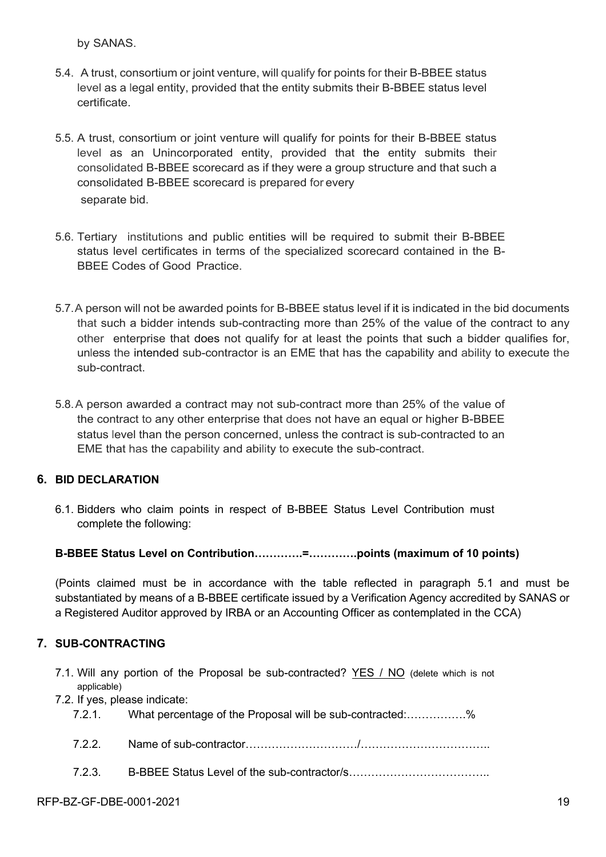by SANAS.

- 5.4. A trust, consortium or joint venture, will qualify for points for their B-BBEE status level as a legal entity, provided that the entity submits their B-BBEE status level certificate.
- 5.5. A trust, consortium or joint venture will qualify for points for their B-BBEE status level as an Unincorporated entity, provided that the entity submits their consolidated B-BBEE scorecard as if they were a group structure and that such a consolidated B-BBEE scorecard is prepared for every separate bid.
- 5.6. Tertiary institutions and public entities will be required to submit their B-BBEE status level certificates in terms of the specialized scorecard contained in the B-BBEE Codes of Good Practice.
- 5.7.A person will not be awarded points for B-BBEE status level if it is indicated in the bid documents that such a bidder intends sub-contracting more than 25% of the value of the contract to any other enterprise that does not qualify for at least the points that such a bidder qualifies for, unless the intended sub-contractor is an EME that has the capability and ability to execute the sub-contract.
- 5.8.A person awarded a contract may not sub-contract more than 25% of the value of the contract to any other enterprise that does not have an equal or higher B-BBEE status level than the person concerned, unless the contract is sub-contracted to an EME that has the capability and ability to execute the sub-contract.

#### **6. BID DECLARATION**

6.1. Bidders who claim points in respect of B-BBEE Status Level Contribution must complete the following:

#### **B-BBEE Status Level on Contribution………….=………….points (maximum of 10 points)**

(Points claimed must be in accordance with the table reflected in paragraph 5.1 and must be substantiated by means of a B-BBEE certificate issued by a Verification Agency accredited by SANAS or a Registered Auditor approved by IRBA or an Accounting Officer as contemplated in the CCA)

#### **7. SUB-CONTRACTING**

7.1. Will any portion of the Proposal be sub-contracted? YES / NO (delete which is not applicable)

7.2. If yes, please indicate:

7.2.1. What percentage of the Proposal will be sub-contracted:…………….%

7.2.2. Name of sub-contractor…………………………/……………………………..

7.2.3. B-BBEE Status Level of the sub-contractor/s………………………………..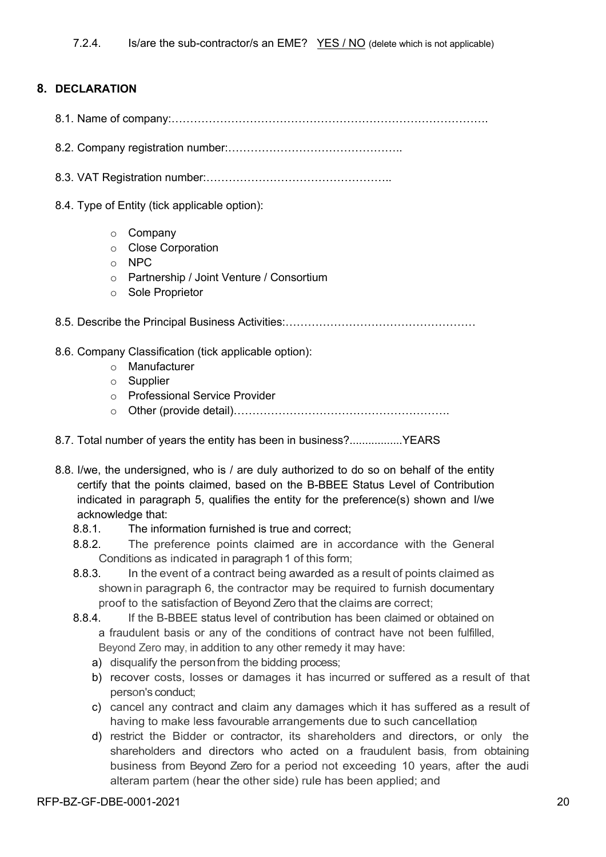#### **8. DECLARATION**

- 8.1. Name of company:………………………………………………………………………….
- 8.2. Company registration number:………………………………………..

8.3. VAT Registration number:…………………………………………..

- 8.4. Type of Entity (tick applicable option):
	- o Company
	- o Close Corporation
	- o NPC
	- o Partnership / Joint Venture / Consortium
	- o Sole Proprietor

8.5. Describe the Principal Business Activities:……………………………………………

#### 8.6. Company Classification (tick applicable option):

- o Manufacturer
- o Supplier
- o Professional Service Provider
- o Other (provide detail)………………………………………………….
- 8.7. Total number of years the entity has been in business?.................YEARS
- 8.8. I/we, the undersigned, who is / are duly authorized to do so on behalf of the entity certify that the points claimed, based on the B-BBEE Status Level of Contribution indicated in paragraph 5, qualifies the entity for the preference(s) shown and I/we acknowledge that:
	- 8.8.1. The information furnished is true and correct;
	- 8.8.2. The preference points claimed are in accordance with the General Conditions as indicated in paragraph 1 of this form;
	- 8.8.3. In the event of a contract being awarded as a result of points claimed as shownin paragraph 6, the contractor may be required to furnish documentary proof to the satisfaction of Beyond Zero that the claims are correct;
	- 8.8.4. If the B-BBEE status level of contribution has been claimed or obtained on a fraudulent basis or any of the conditions of contract have not been fulfilled, Beyond Zero may, in addition to any other remedy it may have:
		- a) disqualify the personfrom the bidding process;
		- b) recover costs, losses or damages it has incurred or suffered as a result of that person's conduct;
		- c) cancel any contract and claim any damages which it has suffered as a result of having to make less favourable arrangements due to such cancellation;
		- d) restrict the Bidder or contractor, its shareholders and directors, or only the shareholders and directors who acted on a fraudulent basis, from obtaining business from Beyond Zero for a period not exceeding 10 years, after the audi alteram partem (hear the other side) rule has been applied; and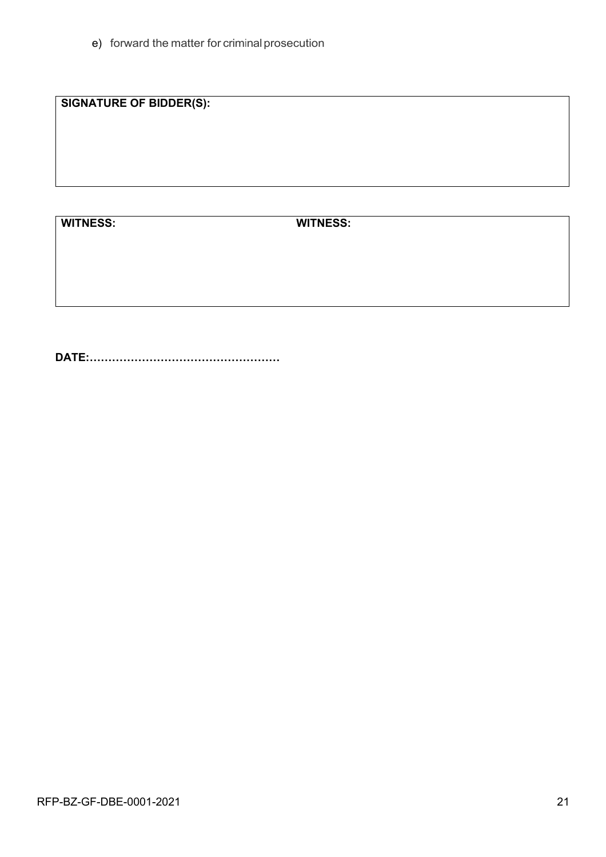e) forward the matter for criminal prosecution

**SIGNATURE OF BIDDER(S):**

**WITNESS: WITNESS:**

**DATE:……………………………………………**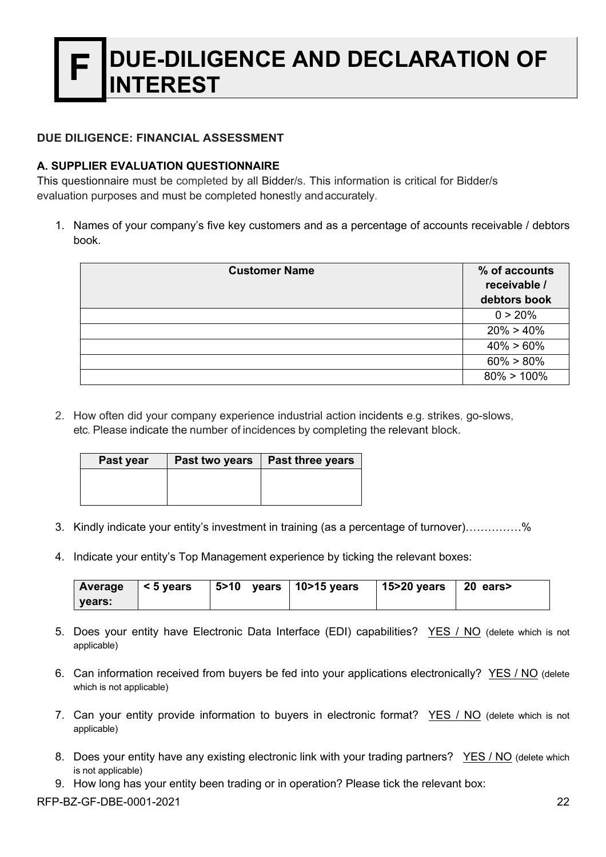## **DUE-DILIGENCE AND DECLARATION OF ITEREST**

#### **DUE DILIGENCE: FINANCIAL ASSESSMENT**

#### **A. SUPPLIER EVALUATION QUESTIONNAIRE**

This questionnaire must be completed by all Bidder/s. This information is critical for Bidder/s evaluation purposes and must be completed honestly andaccurately.

1. Names of your company's five key customers and as a percentage of accounts receivable / debtors book.

| <b>Customer Name</b> | % of accounts<br>receivable /<br>debtors book |
|----------------------|-----------------------------------------------|
|                      | 0 > 20%                                       |
|                      | $20\% > 40\%$                                 |
|                      | $40\% > 60\%$                                 |
|                      | $60\% > 80\%$                                 |
|                      | $80\% > 100\%$                                |

2. How often did your company experience industrial action incidents e.g. strikes, go-slows, etc. Please indicate the number of incidences by completing the relevant block.

| Past two years | <b>Past three years</b> |
|----------------|-------------------------|
|                |                         |
|                |                         |
|                |                         |

- 3. Kindly indicate your entity's investment in training (as a percentage of turnover)……………%
- 4. Indicate your entity's Top Management experience by ticking the relevant boxes:

|        | Average $ < 5$ years | $\vert$ 5>10 years $\vert$ 10>15 years | 15>20 years   20 ears> |  |
|--------|----------------------|----------------------------------------|------------------------|--|
| vears: |                      |                                        |                        |  |

- 5. Does your entity have Electronic Data Interface (EDI) capabilities? YES / NO (delete which is not applicable)
- 6. Can information received from buyers be fed into your applications electronically? YES / NO (delete which is not applicable)
- 7. Can your entity provide information to buyers in electronic format? YES / NO (delete which is not applicable)
- 8. Does your entity have any existing electronic link with your trading partners? YES / NO (delete which is not applicable)
- 9. How long has your entity been trading or in operation? Please tick the relevant box:

RFP-BZ-GF-DBE-0001-2021 22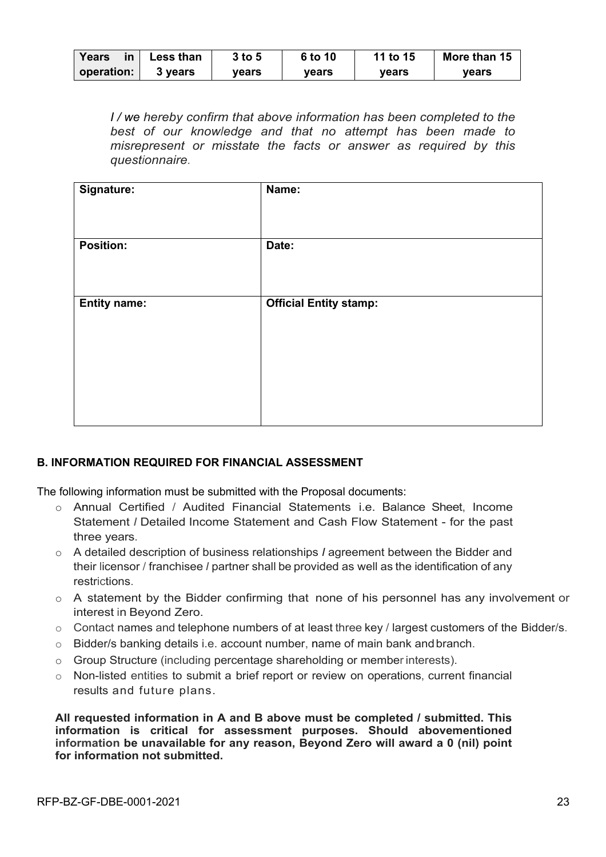| Years      | Less than | $3$ to 5 | 6 to 10 | 11 to 15 | More than 15 |
|------------|-----------|----------|---------|----------|--------------|
| operation: | 3 years   | vears    | vears   | vears    | vears        |

*I / we hereby confirm that above information has been completed to the best of our knowledge and that no attempt has been made to misrepresent or misstate the facts or answer as required by this questionnaire.*

| Signature:          | Name:                         |
|---------------------|-------------------------------|
| <b>Position:</b>    | Date:                         |
| <b>Entity name:</b> | <b>Official Entity stamp:</b> |
|                     |                               |
|                     |                               |

#### **B. INFORMATION REQUIRED FOR FINANCIAL ASSESSMENT**

The following information must be submitted with the Proposal documents:

- o Annual Certified / Audited Financial Statements i.e. Balance Sheet, Income Statement *I* Detailed Income Statement and Cash Flow Statement - for the past three years.
- o A detailed description of business relationships *I* agreement between the Bidder and their licensor / franchisee *I* partner shall be provided as well as the identification of any restrictions.
- o A statement by the Bidder confirming that none of his personnel has any involvement or interest in Beyond Zero.
- o Contact names and telephone numbers of at least three key / largest customers of the Bidder/s.
- $\circ$  Bidder/s banking details i.e. account number, name of main bank and branch.
- o Group Structure (including percentage shareholding or member interests).
- $\circ$  Non-listed entities to submit a brief report or review on operations, current financial results and future plans.

**All requested information in A and B above must be completed / submitted. This information is critical for assessment purposes. Should abovementioned information be unavailable for any reason, Beyond Zero will award a 0 (nil) point for information not submitted.**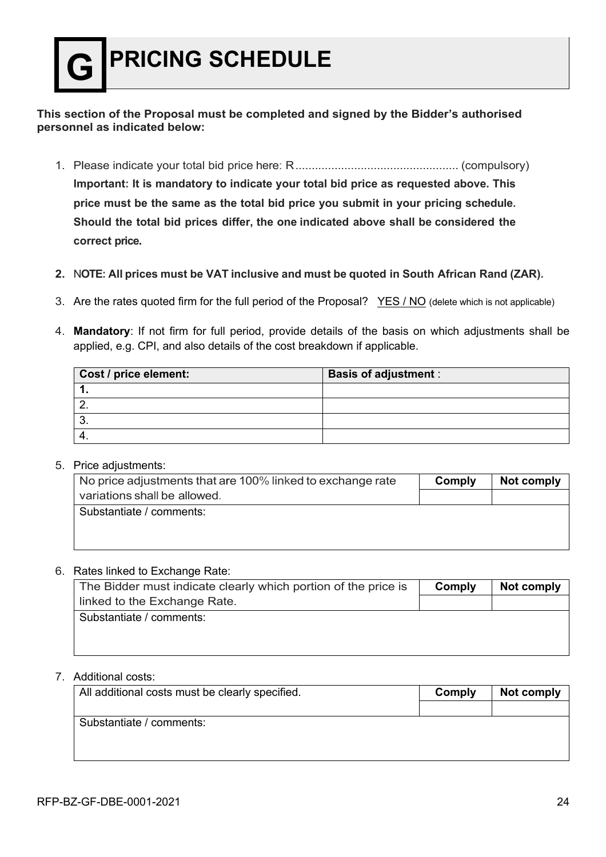#### **This section of the Proposal must be completed and signed by the Bidder's authorised personnel as indicated below:**

- 1. Please indicate your total bid price here: R.................................................. (compulsory) **Important: It is mandatory to indicate your total bid price as requested above. This price must be the same as the total bid price you submit in your pricing schedule. Should the total bid prices differ, the one indicated above shall be considered the correct price.**
- **2.** N**OTE: All prices must be VAT inclusive and must be quoted in South African Rand (ZAR).**
- 3. Are the rates quoted firm for the full period of the Proposal? YES / NO (delete which is not applicable)
- 4. **Mandatory**: If not firm for full period, provide details of the basis on which adjustments shall be applied, e.g. CPI, and also details of the cost breakdown if applicable.

| Cost / price element: | <b>Basis of adjustment:</b> |
|-----------------------|-----------------------------|
|                       |                             |
|                       |                             |
|                       |                             |
|                       |                             |

#### 5. Price adjustments:

| No price adjustments that are 100% linked to exchange rate | Comply | Not comply |
|------------------------------------------------------------|--------|------------|
| variations shall be allowed.                               |        |            |
| Substantiate / comments:                                   |        |            |
|                                                            |        |            |
|                                                            |        |            |

#### 6. Rates linked to Exchange Rate:

| The Bidder must indicate clearly which portion of the price is | Comply | Not comply |
|----------------------------------------------------------------|--------|------------|
| linked to the Exchange Rate.                                   |        |            |
| Substantiate / comments:                                       |        |            |
|                                                                |        |            |
|                                                                |        |            |

#### 7. Additional costs:

| All additional costs must be clearly specified. | Comply | Not comply |
|-------------------------------------------------|--------|------------|
|                                                 |        |            |
| Substantiate / comments:                        |        |            |
|                                                 |        |            |
|                                                 |        |            |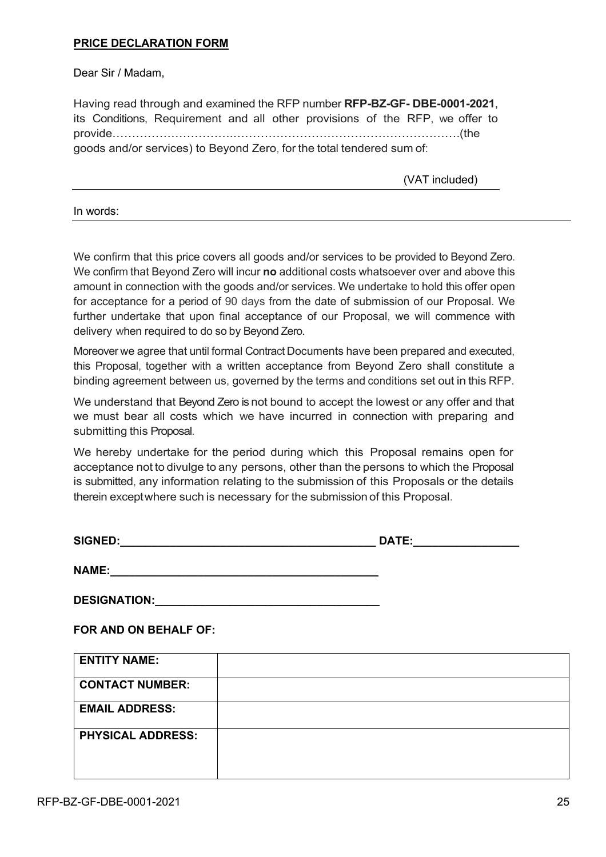#### **PRICE DECLARATION FORM**

Dear Sir / Madam,

Having read through and examined the RFP number **RFP-BZ-GF- DBE-0001-2021**, its Conditions, Requirement and all other provisions of the RFP, we offer to provide………………………….………………………………………………….(the goods and/or services) to Beyond Zero, for the total tendered sum of:

(VAT included)

In words:

We confirm that this price covers all goods and/or services to be provided to Beyond Zero. We confirm that Beyond Zero will incur **no** additional costs whatsoever over and above this amount in connection with the goods and/or services. We undertake to hold this offer open for acceptance for a period of 90 days from the date of submission of our Proposal. We further undertake that upon final acceptance of our Proposal, we will commence with delivery when required to do so by Beyond Zero.

Moreover we agree that until formal Contract Documents have been prepared and executed, this Proposal, together with a written acceptance from Beyond Zero shall constitute a binding agreement between us, governed by the terms and conditions set out in this RFP.

We understand that Beyond Zero is not bound to accept the lowest or any offer and that we must bear all costs which we have incurred in connection with preparing and submitting this Proposal.

We hereby undertake for the period during which this Proposal remains open for acceptance not to divulge to any persons, other than the persons to which the Proposal is submitted, any information relating to the submission of this Proposals or the details therein exceptwhere such is necessary for the submission of this Proposal.

| <b>SIGNED:</b> | --<br>ıл |
|----------------|----------|
|                |          |

**NAME:\_\_\_\_\_\_\_\_\_\_\_\_\_\_\_\_\_\_\_\_\_\_\_\_\_\_\_\_\_\_\_\_\_\_\_\_\_\_\_\_\_\_\_**

**DESIGNATION:\_\_\_\_\_\_\_\_\_\_\_\_\_\_\_\_\_\_\_\_\_\_\_\_\_\_\_\_\_\_\_\_\_\_\_\_**

**FOR AND ON BEHALF OF:**

| <b>ENTITY NAME:</b>      |  |
|--------------------------|--|
| <b>CONTACT NUMBER:</b>   |  |
| <b>EMAIL ADDRESS:</b>    |  |
| <b>PHYSICAL ADDRESS:</b> |  |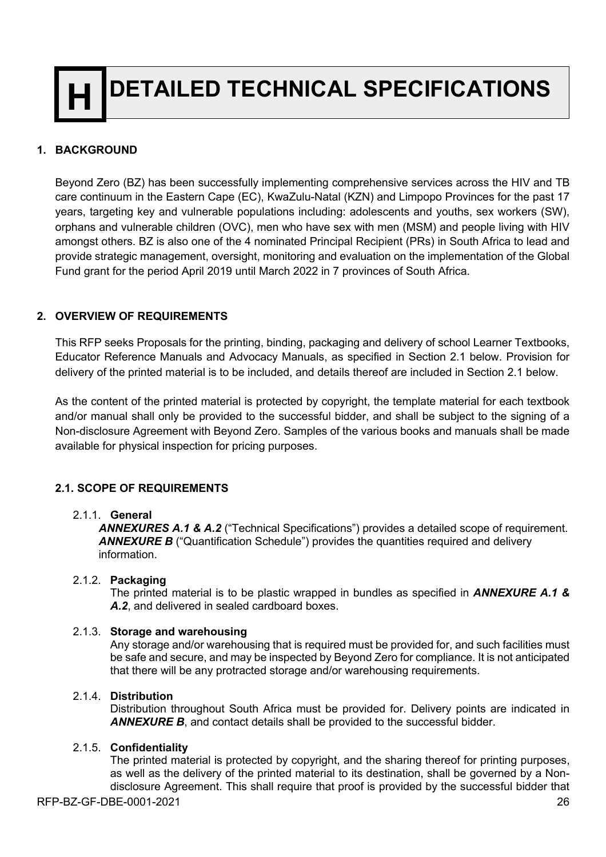**DETAILED TECHNICAL SPECIFICATIONS** 

#### **1. BACKGROUND**

Beyond Zero (BZ) has been successfully implementing comprehensive services across the HIV and TB care continuum in the Eastern Cape (EC), KwaZulu-Natal (KZN) and Limpopo Provinces for the past 17 years, targeting key and vulnerable populations including: adolescents and youths, sex workers (SW), orphans and vulnerable children (OVC), men who have sex with men (MSM) and people living with HIV amongst others. BZ is also one of the 4 nominated Principal Recipient (PRs) in South Africa to lead and provide strategic management, oversight, monitoring and evaluation on the implementation of the Global Fund grant for the period April 2019 until March 2022 in 7 provinces of South Africa.

#### **2. OVERVIEW OF REQUIREMENTS**

This RFP seeks Proposals for the printing, binding, packaging and delivery of school Learner Textbooks, Educator Reference Manuals and Advocacy Manuals, as specified in Section 2.1 below. Provision for delivery of the printed material is to be included, and details thereof are included in Section 2.1 below.

As the content of the printed material is protected by copyright, the template material for each textbook and/or manual shall only be provided to the successful bidder, and shall be subject to the signing of a Non-disclosure Agreement with Beyond Zero. Samples of the various books and manuals shall be made available for physical inspection for pricing purposes.

#### **2.1. SCOPE OF REQUIREMENTS**

#### 2.1.1. **General**

*ANNEXURES A.1 & A.2* ("Technical Specifications") provides a detailed scope of requirement. **ANNEXURE B** ("Quantification Schedule") provides the quantities required and delivery information.

#### 2.1.2. **Packaging**

The printed material is to be plastic wrapped in bundles as specified in *ANNEXURE A.1 & A.2*, and delivered in sealed cardboard boxes.

#### 2.1.3. **Storage and warehousing**

Any storage and/or warehousing that is required must be provided for, and such facilities must be safe and secure, and may be inspected by Beyond Zero for compliance. It is not anticipated that there will be any protracted storage and/or warehousing requirements.

#### 2.1.4. **Distribution**

Distribution throughout South Africa must be provided for. Delivery points are indicated in *ANNEXURE B*, and contact details shall be provided to the successful bidder.

#### 2.1.5. **Confidentiality**

The printed material is protected by copyright, and the sharing thereof for printing purposes, as well as the delivery of the printed material to its destination, shall be governed by a Nondisclosure Agreement. This shall require that proof is provided by the successful bidder that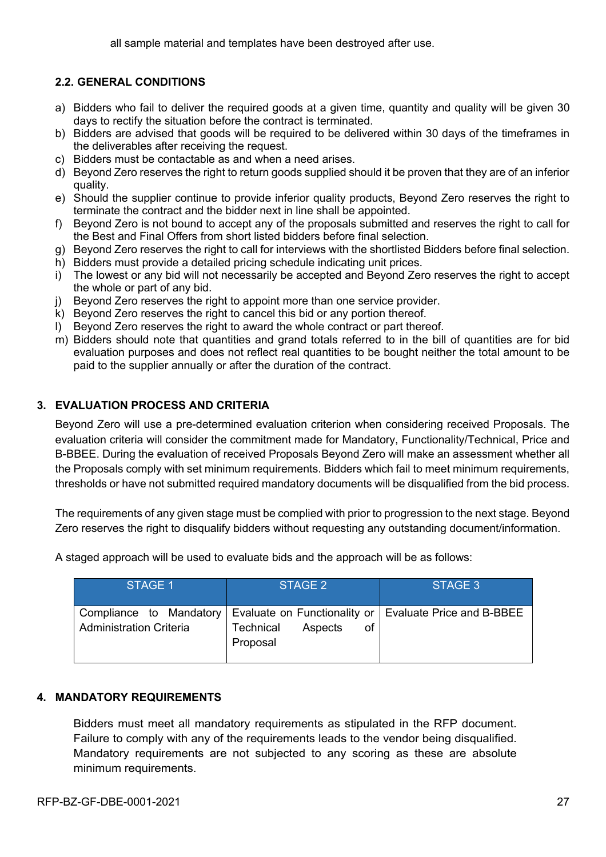#### **2.2. GENERAL CONDITIONS**

- a) Bidders who fail to deliver the required goods at a given time, quantity and quality will be given 30 days to rectify the situation before the contract is terminated.
- b) Bidders are advised that goods will be required to be delivered within 30 days of the timeframes in the deliverables after receiving the request.
- c) Bidders must be contactable as and when a need arises.
- d) Beyond Zero reserves the right to return goods supplied should it be proven that they are of an inferior quality.
- e) Should the supplier continue to provide inferior quality products, Beyond Zero reserves the right to terminate the contract and the bidder next in line shall be appointed.
- f) Beyond Zero is not bound to accept any of the proposals submitted and reserves the right to call for the Best and Final Offers from short listed bidders before final selection.
- g) Beyond Zero reserves the right to call for interviews with the shortlisted Bidders before final selection.
- h) Bidders must provide a detailed pricing schedule indicating unit prices.
- i) The lowest or any bid will not necessarily be accepted and Beyond Zero reserves the right to accept the whole or part of any bid.
- j) Beyond Zero reserves the right to appoint more than one service provider.
- k) Beyond Zero reserves the right to cancel this bid or any portion thereof.
- l) Beyond Zero reserves the right to award the whole contract or part thereof.
- m) Bidders should note that quantities and grand totals referred to in the bill of quantities are for bid evaluation purposes and does not reflect real quantities to be bought neither the total amount to be paid to the supplier annually or after the duration of the contract.

#### **3. EVALUATION PROCESS AND CRITERIA**

Beyond Zero will use a pre-determined evaluation criterion when considering received Proposals. The evaluation criteria will consider the commitment made for Mandatory, Functionality/Technical, Price and B-BBEE. During the evaluation of received Proposals Beyond Zero will make an assessment whether all the Proposals comply with set minimum requirements. Bidders which fail to meet minimum requirements, thresholds or have not submitted required mandatory documents will be disqualified from the bid process.

The requirements of any given stage must be complied with prior to progression to the next stage. Beyond Zero reserves the right to disqualify bidders without requesting any outstanding document/information.

| STAGE 1                        | STAGE 2                                                                                                                      | STAGE 3 |
|--------------------------------|------------------------------------------------------------------------------------------------------------------------------|---------|
| <b>Administration Criteria</b> | Compliance to Mandatory   Evaluate on Functionality or   Evaluate Price and B-BBEE<br>Technical<br>Aspects<br>οf<br>Proposal |         |

A staged approach will be used to evaluate bids and the approach will be as follows:

#### **4. MANDATORY REQUIREMENTS**

Bidders must meet all mandatory requirements as stipulated in the RFP document. Failure to comply with any of the requirements leads to the vendor being disqualified. Mandatory requirements are not subjected to any scoring as these are absolute minimum requirements.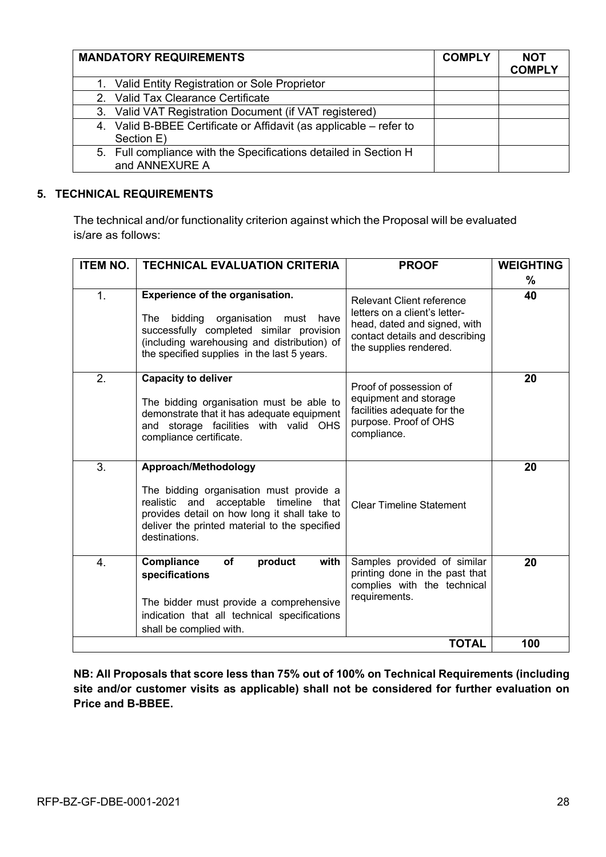| <b>MANDATORY REQUIREMENTS</b>                                                      | <b>COMPLY</b> | <b>NOT</b><br><b>COMPLY</b> |
|------------------------------------------------------------------------------------|---------------|-----------------------------|
| 1. Valid Entity Registration or Sole Proprietor                                    |               |                             |
| 2. Valid Tax Clearance Certificate                                                 |               |                             |
| 3. Valid VAT Registration Document (if VAT registered)                             |               |                             |
| 4. Valid B-BBEE Certificate or Affidavit (as applicable – refer to<br>Section E)   |               |                             |
| 5. Full compliance with the Specifications detailed in Section H<br>and ANNEXURE A |               |                             |

#### **5. TECHNICAL REQUIREMENTS**

The technical and/or functionality criterion against which the Proposal will be evaluated is/are as follows:

| <b>ITEM NO.</b>  | <b>TECHNICAL EVALUATION CRITERIA</b>                                                                                                                                                                                           | <b>PROOF</b>                                                                                                                                                  | <b>WEIGHTING</b> |
|------------------|--------------------------------------------------------------------------------------------------------------------------------------------------------------------------------------------------------------------------------|---------------------------------------------------------------------------------------------------------------------------------------------------------------|------------------|
|                  |                                                                                                                                                                                                                                |                                                                                                                                                               | %                |
| 1.               | <b>Experience of the organisation.</b><br>bidding organisation<br>The<br>must have<br>successfully completed similar provision<br>(including warehousing and distribution) of<br>the specified supplies in the last 5 years.   | <b>Relevant Client reference</b><br>letters on a client's letter-<br>head, dated and signed, with<br>contact details and describing<br>the supplies rendered. | 40               |
| 2.               | <b>Capacity to deliver</b><br>The bidding organisation must be able to<br>demonstrate that it has adequate equipment<br>and storage facilities with valid OHS<br>compliance certificate.                                       | Proof of possession of<br>equipment and storage<br>facilities adequate for the<br>purpose. Proof of OHS<br>compliance.                                        | 20               |
| 3.               | Approach/Methodology<br>The bidding organisation must provide a<br>timeline that<br>realistic and acceptable<br>provides detail on how long it shall take to<br>deliver the printed material to the specified<br>destinations. | <b>Clear Timeline Statement</b>                                                                                                                               | 20               |
| $\overline{4}$ . | <b>Compliance</b><br>of<br>product<br>with<br>specifications<br>The bidder must provide a comprehensive<br>indication that all technical specifications<br>shall be complied with.                                             | Samples provided of similar<br>printing done in the past that<br>complies with the technical<br>requirements.                                                 | 20               |
|                  |                                                                                                                                                                                                                                | <b>TOTAL</b>                                                                                                                                                  | 100              |

**NB: All Proposals that score less than 75% out of 100% on Technical Requirements (including site and/or customer visits as applicable) shall not be considered for further evaluation on Price and B-BBEE.**